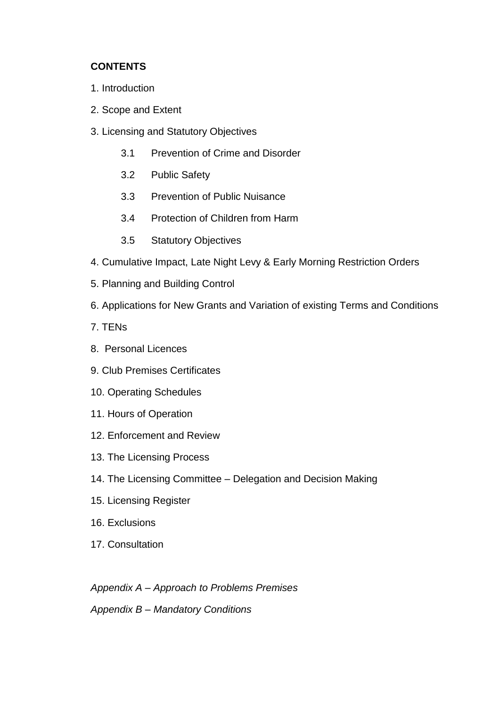## **CONTENTS**

- 1. Introduction
- 2. Scope and Extent
- 3. Licensing and Statutory Objectives
	- 3.1 Prevention of Crime and Disorder
	- 3.2 Public Safety
	- 3.3 Prevention of Public Nuisance
	- 3.4 Protection of Children from Harm
	- 3.5 Statutory Objectives
- 4. Cumulative Impact, Late Night Levy & Early Morning Restriction Orders
- 5. Planning and Building Control
- 6. Applications for New Grants and Variation of existing Terms and Conditions
- 7. TENs
- 8. Personal Licences
- 9. Club Premises Certificates
- 10. Operating Schedules
- 11. Hours of Operation
- 12. Enforcement and Review
- 13. The Licensing Process
- 14. The Licensing Committee Delegation and Decision Making
- 15. Licensing Register
- 16. Exclusions
- 17. Consultation

*Appendix A – Approach to Problems Premises*

*Appendix B – Mandatory Conditions*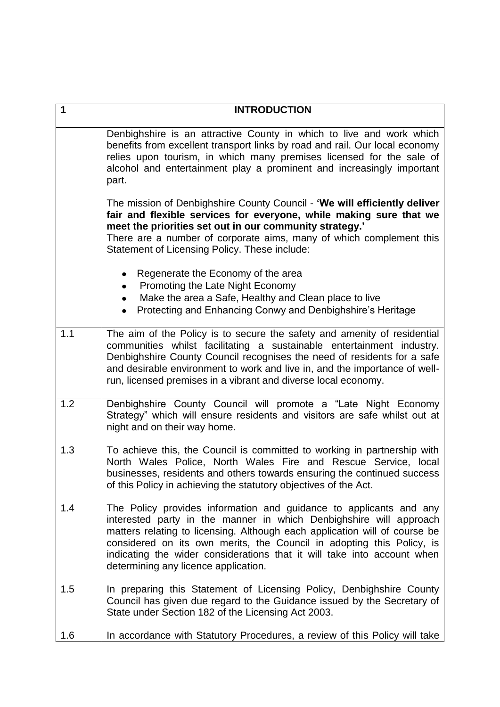| $\mathbf 1$ | <b>INTRODUCTION</b>                                                                                                                                                                                                                                                                                                                                                                                                |
|-------------|--------------------------------------------------------------------------------------------------------------------------------------------------------------------------------------------------------------------------------------------------------------------------------------------------------------------------------------------------------------------------------------------------------------------|
|             | Denbighshire is an attractive County in which to live and work which<br>benefits from excellent transport links by road and rail. Our local economy<br>relies upon tourism, in which many premises licensed for the sale of<br>alcohol and entertainment play a prominent and increasingly important<br>part.                                                                                                      |
|             | The mission of Denbighshire County Council - 'We will efficiently deliver<br>fair and flexible services for everyone, while making sure that we<br>meet the priorities set out in our community strategy.'<br>There are a number of corporate aims, many of which complement this<br>Statement of Licensing Policy. These include:                                                                                 |
|             | Regenerate the Economy of the area<br>Promoting the Late Night Economy<br>٠<br>Make the area a Safe, Healthy and Clean place to live<br>$\bullet$<br>Protecting and Enhancing Conwy and Denbighshire's Heritage                                                                                                                                                                                                    |
| 1.1         | The aim of the Policy is to secure the safety and amenity of residential<br>communities whilst facilitating a sustainable entertainment industry.<br>Denbighshire County Council recognises the need of residents for a safe<br>and desirable environment to work and live in, and the importance of well-<br>run, licensed premises in a vibrant and diverse local economy.                                       |
| 1.2         | Denbighshire County Council will promote a "Late Night Economy<br>Strategy" which will ensure residents and visitors are safe whilst out at<br>night and on their way home.                                                                                                                                                                                                                                        |
| 1.3         | To achieve this, the Council is committed to working in partnership with<br>North Wales Police, North Wales Fire and Rescue Service, local<br>businesses, residents and others towards ensuring the continued success<br>of this Policy in achieving the statutory objectives of the Act.                                                                                                                          |
| 1.4         | The Policy provides information and guidance to applicants and any<br>interested party in the manner in which Denbighshire will approach<br>matters relating to licensing. Although each application will of course be<br>considered on its own merits, the Council in adopting this Policy, is<br>indicating the wider considerations that it will take into account when<br>determining any licence application. |
| 1.5         | In preparing this Statement of Licensing Policy, Denbighshire County<br>Council has given due regard to the Guidance issued by the Secretary of<br>State under Section 182 of the Licensing Act 2003.                                                                                                                                                                                                              |
| 1.6         | In accordance with Statutory Procedures, a review of this Policy will take                                                                                                                                                                                                                                                                                                                                         |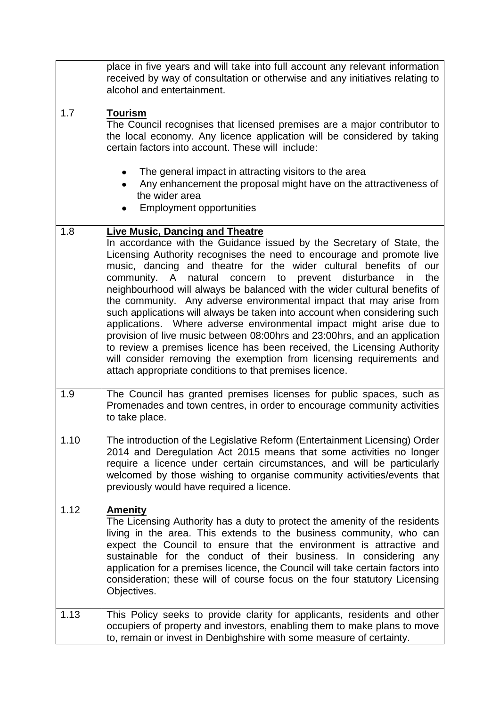|      | place in five years and will take into full account any relevant information<br>received by way of consultation or otherwise and any initiatives relating to<br>alcohol and entertainment.                                                                                                                                                                                                                                                                                                                                                                                                                                                                                                                                                                                                                                                                                                                                           |
|------|--------------------------------------------------------------------------------------------------------------------------------------------------------------------------------------------------------------------------------------------------------------------------------------------------------------------------------------------------------------------------------------------------------------------------------------------------------------------------------------------------------------------------------------------------------------------------------------------------------------------------------------------------------------------------------------------------------------------------------------------------------------------------------------------------------------------------------------------------------------------------------------------------------------------------------------|
| 1.7  | <b>Tourism</b><br>The Council recognises that licensed premises are a major contributor to<br>the local economy. Any licence application will be considered by taking<br>certain factors into account. These will include:                                                                                                                                                                                                                                                                                                                                                                                                                                                                                                                                                                                                                                                                                                           |
|      | The general impact in attracting visitors to the area<br>Any enhancement the proposal might have on the attractiveness of<br>the wider area<br><b>Employment opportunities</b>                                                                                                                                                                                                                                                                                                                                                                                                                                                                                                                                                                                                                                                                                                                                                       |
| 1.8  | <b>Live Music, Dancing and Theatre</b><br>In accordance with the Guidance issued by the Secretary of State, the<br>Licensing Authority recognises the need to encourage and promote live<br>music, dancing and theatre for the wider cultural benefits of our<br>community. A natural concern to prevent disturbance<br>the<br>in<br>neighbourhood will always be balanced with the wider cultural benefits of<br>the community. Any adverse environmental impact that may arise from<br>such applications will always be taken into account when considering such<br>applications. Where adverse environmental impact might arise due to<br>provision of live music between 08:00hrs and 23:00hrs, and an application<br>to review a premises licence has been received, the Licensing Authority<br>will consider removing the exemption from licensing requirements and<br>attach appropriate conditions to that premises licence. |
| 1.9  | The Council has granted premises licenses for public spaces, such as<br>Promenades and town centres, in order to encourage community activities<br>to take place.                                                                                                                                                                                                                                                                                                                                                                                                                                                                                                                                                                                                                                                                                                                                                                    |
| 1.10 | The introduction of the Legislative Reform (Entertainment Licensing) Order<br>2014 and Deregulation Act 2015 means that some activities no longer<br>require a licence under certain circumstances, and will be particularly<br>welcomed by those wishing to organise community activities/events that<br>previously would have required a licence.                                                                                                                                                                                                                                                                                                                                                                                                                                                                                                                                                                                  |
| 1.12 | <b>Amenity</b><br>The Licensing Authority has a duty to protect the amenity of the residents<br>living in the area. This extends to the business community, who can<br>expect the Council to ensure that the environment is attractive and<br>sustainable for the conduct of their business. In considering any<br>application for a premises licence, the Council will take certain factors into<br>consideration; these will of course focus on the four statutory Licensing<br>Objectives.                                                                                                                                                                                                                                                                                                                                                                                                                                        |
| 1.13 | This Policy seeks to provide clarity for applicants, residents and other<br>occupiers of property and investors, enabling them to make plans to move<br>to, remain or invest in Denbighshire with some measure of certainty.                                                                                                                                                                                                                                                                                                                                                                                                                                                                                                                                                                                                                                                                                                         |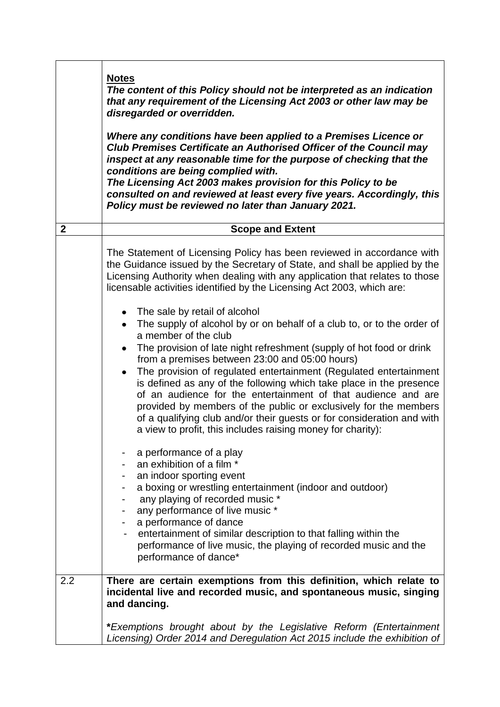|              | <b>Notes</b><br>The content of this Policy should not be interpreted as an indication<br>that any requirement of the Licensing Act 2003 or other law may be<br>disregarded or overridden.<br>Where any conditions have been applied to a Premises Licence or<br>Club Premises Certificate an Authorised Officer of the Council may<br>inspect at any reasonable time for the purpose of checking that the<br>conditions are being complied with.<br>The Licensing Act 2003 makes provision for this Policy to be<br>consulted on and reviewed at least every five years. Accordingly, this<br>Policy must be reviewed no later than January 2021.                                                |
|--------------|--------------------------------------------------------------------------------------------------------------------------------------------------------------------------------------------------------------------------------------------------------------------------------------------------------------------------------------------------------------------------------------------------------------------------------------------------------------------------------------------------------------------------------------------------------------------------------------------------------------------------------------------------------------------------------------------------|
| $\mathbf{2}$ | <b>Scope and Extent</b>                                                                                                                                                                                                                                                                                                                                                                                                                                                                                                                                                                                                                                                                          |
|              | The Statement of Licensing Policy has been reviewed in accordance with<br>the Guidance issued by the Secretary of State, and shall be applied by the<br>Licensing Authority when dealing with any application that relates to those<br>licensable activities identified by the Licensing Act 2003, which are:                                                                                                                                                                                                                                                                                                                                                                                    |
|              | The sale by retail of alcohol<br>The supply of alcohol by or on behalf of a club to, or to the order of<br>a member of the club<br>The provision of late night refreshment (supply of hot food or drink<br>from a premises between 23:00 and 05:00 hours)<br>The provision of regulated entertainment (Regulated entertainment<br>$\bullet$<br>is defined as any of the following which take place in the presence<br>of an audience for the entertainment of that audience and are<br>provided by members of the public or exclusively for the members<br>of a qualifying club and/or their guests or for consideration and with<br>a view to profit, this includes raising money for charity): |
|              | a performance of a play<br>an exhibition of a film *<br>an indoor sporting event<br>a boxing or wrestling entertainment (indoor and outdoor)<br>any playing of recorded music *<br>any performance of live music *<br>a performance of dance<br>entertainment of similar description to that falling within the<br>performance of live music, the playing of recorded music and the<br>performance of dance*                                                                                                                                                                                                                                                                                     |
| 2.2          | There are certain exemptions from this definition, which relate to<br>incidental live and recorded music, and spontaneous music, singing<br>and dancing.<br>*Exemptions brought about by the Legislative Reform (Entertainment                                                                                                                                                                                                                                                                                                                                                                                                                                                                   |
|              | Licensing) Order 2014 and Deregulation Act 2015 include the exhibition of                                                                                                                                                                                                                                                                                                                                                                                                                                                                                                                                                                                                                        |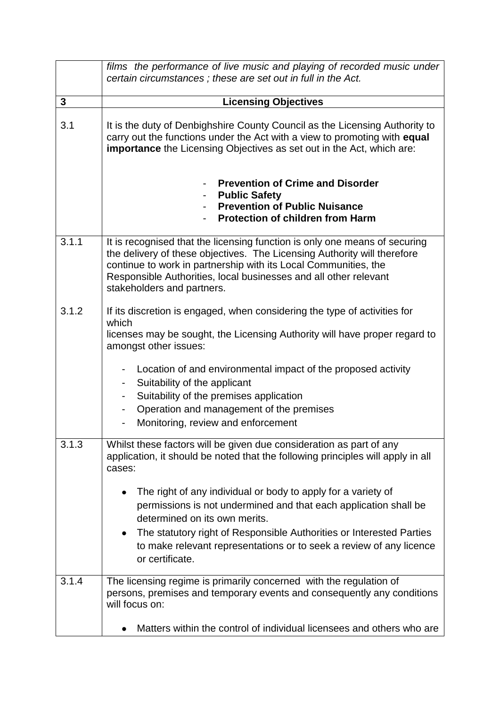|              | films the performance of live music and playing of recorded music under<br>certain circumstances; these are set out in full in the Act.                                                                                                                                                                                              |
|--------------|--------------------------------------------------------------------------------------------------------------------------------------------------------------------------------------------------------------------------------------------------------------------------------------------------------------------------------------|
| $\mathbf{3}$ | <b>Licensing Objectives</b>                                                                                                                                                                                                                                                                                                          |
| 3.1          | It is the duty of Denbighshire County Council as the Licensing Authority to<br>carry out the functions under the Act with a view to promoting with equal<br><b>importance</b> the Licensing Objectives as set out in the Act, which are:                                                                                             |
|              | <b>Prevention of Crime and Disorder</b><br><b>Public Safety</b><br><b>Prevention of Public Nuisance</b><br><b>Protection of children from Harm</b>                                                                                                                                                                                   |
| 3.1.1        | It is recognised that the licensing function is only one means of securing<br>the delivery of these objectives. The Licensing Authority will therefore<br>continue to work in partnership with its Local Communities, the<br>Responsible Authorities, local businesses and all other relevant<br>stakeholders and partners.          |
| 3.1.2        | If its discretion is engaged, when considering the type of activities for<br>which<br>licenses may be sought, the Licensing Authority will have proper regard to<br>amongst other issues:                                                                                                                                            |
|              | Location of and environmental impact of the proposed activity<br>Suitability of the applicant<br>$\blacksquare$<br>Suitability of the premises application<br>۰<br>Operation and management of the premises<br>Monitoring, review and enforcement<br>$\overline{\phantom{a}}$                                                        |
| 3.1.3        | Whilst these factors will be given due consideration as part of any<br>application, it should be noted that the following principles will apply in all<br>cases:                                                                                                                                                                     |
|              | The right of any individual or body to apply for a variety of<br>permissions is not undermined and that each application shall be<br>determined on its own merits.<br>The statutory right of Responsible Authorities or Interested Parties<br>to make relevant representations or to seek a review of any licence<br>or certificate. |
| 3.1.4        | The licensing regime is primarily concerned with the regulation of<br>persons, premises and temporary events and consequently any conditions<br>will focus on:                                                                                                                                                                       |
|              | Matters within the control of individual licensees and others who are                                                                                                                                                                                                                                                                |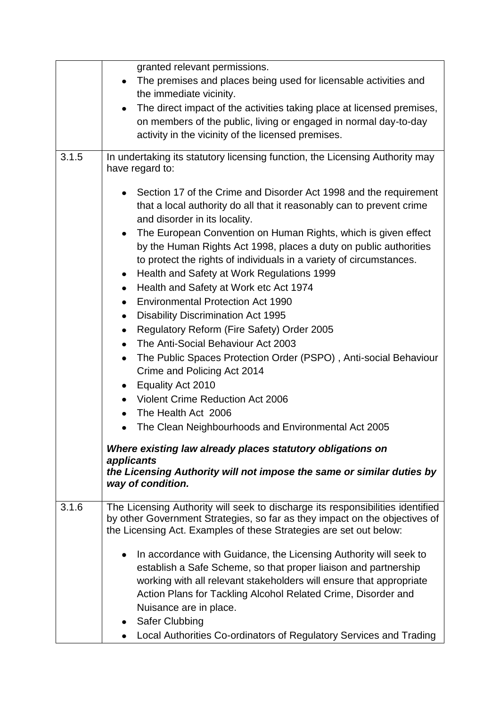|       | granted relevant permissions.                                                                                                                                                                                                                                                                                                                                                                                                                                                                                                                                                                                                                                                                                                                                                                                                                                  |
|-------|----------------------------------------------------------------------------------------------------------------------------------------------------------------------------------------------------------------------------------------------------------------------------------------------------------------------------------------------------------------------------------------------------------------------------------------------------------------------------------------------------------------------------------------------------------------------------------------------------------------------------------------------------------------------------------------------------------------------------------------------------------------------------------------------------------------------------------------------------------------|
|       | The premises and places being used for licensable activities and                                                                                                                                                                                                                                                                                                                                                                                                                                                                                                                                                                                                                                                                                                                                                                                               |
|       | the immediate vicinity.                                                                                                                                                                                                                                                                                                                                                                                                                                                                                                                                                                                                                                                                                                                                                                                                                                        |
|       | The direct impact of the activities taking place at licensed premises,                                                                                                                                                                                                                                                                                                                                                                                                                                                                                                                                                                                                                                                                                                                                                                                         |
|       | on members of the public, living or engaged in normal day-to-day                                                                                                                                                                                                                                                                                                                                                                                                                                                                                                                                                                                                                                                                                                                                                                                               |
|       | activity in the vicinity of the licensed premises.                                                                                                                                                                                                                                                                                                                                                                                                                                                                                                                                                                                                                                                                                                                                                                                                             |
|       |                                                                                                                                                                                                                                                                                                                                                                                                                                                                                                                                                                                                                                                                                                                                                                                                                                                                |
| 3.1.5 | In undertaking its statutory licensing function, the Licensing Authority may<br>have regard to:                                                                                                                                                                                                                                                                                                                                                                                                                                                                                                                                                                                                                                                                                                                                                                |
|       | Section 17 of the Crime and Disorder Act 1998 and the requirement<br>that a local authority do all that it reasonably can to prevent crime<br>and disorder in its locality.<br>The European Convention on Human Rights, which is given effect<br>$\bullet$<br>by the Human Rights Act 1998, places a duty on public authorities<br>to protect the rights of individuals in a variety of circumstances.<br>Health and Safety at Work Regulations 1999<br>$\bullet$<br>Health and Safety at Work etc Act 1974<br>٠<br><b>Environmental Protection Act 1990</b><br>$\bullet$<br><b>Disability Discrimination Act 1995</b><br>٠<br>Regulatory Reform (Fire Safety) Order 2005<br>٠<br>The Anti-Social Behaviour Act 2003<br>$\bullet$<br>The Public Spaces Protection Order (PSPO), Anti-social Behaviour<br>Crime and Policing Act 2014<br>Equality Act 2010<br>٠ |
|       | Violent Crime Reduction Act 2006                                                                                                                                                                                                                                                                                                                                                                                                                                                                                                                                                                                                                                                                                                                                                                                                                               |
|       | The Health Act 2006                                                                                                                                                                                                                                                                                                                                                                                                                                                                                                                                                                                                                                                                                                                                                                                                                                            |
|       |                                                                                                                                                                                                                                                                                                                                                                                                                                                                                                                                                                                                                                                                                                                                                                                                                                                                |
|       | The Clean Neighbourhoods and Environmental Act 2005                                                                                                                                                                                                                                                                                                                                                                                                                                                                                                                                                                                                                                                                                                                                                                                                            |
|       | Where existing law already places statutory obligations on<br>applicants                                                                                                                                                                                                                                                                                                                                                                                                                                                                                                                                                                                                                                                                                                                                                                                       |
|       | the Licensing Authority will not impose the same or similar duties by<br>way of condition.                                                                                                                                                                                                                                                                                                                                                                                                                                                                                                                                                                                                                                                                                                                                                                     |
| 3.1.6 | The Licensing Authority will seek to discharge its responsibilities identified<br>by other Government Strategies, so far as they impact on the objectives of<br>the Licensing Act. Examples of these Strategies are set out below:                                                                                                                                                                                                                                                                                                                                                                                                                                                                                                                                                                                                                             |
|       | In accordance with Guidance, the Licensing Authority will seek to<br>establish a Safe Scheme, so that proper liaison and partnership<br>working with all relevant stakeholders will ensure that appropriate<br>Action Plans for Tackling Alcohol Related Crime, Disorder and<br>Nuisance are in place.<br>Safer Clubbing                                                                                                                                                                                                                                                                                                                                                                                                                                                                                                                                       |
|       | Local Authorities Co-ordinators of Regulatory Services and Trading                                                                                                                                                                                                                                                                                                                                                                                                                                                                                                                                                                                                                                                                                                                                                                                             |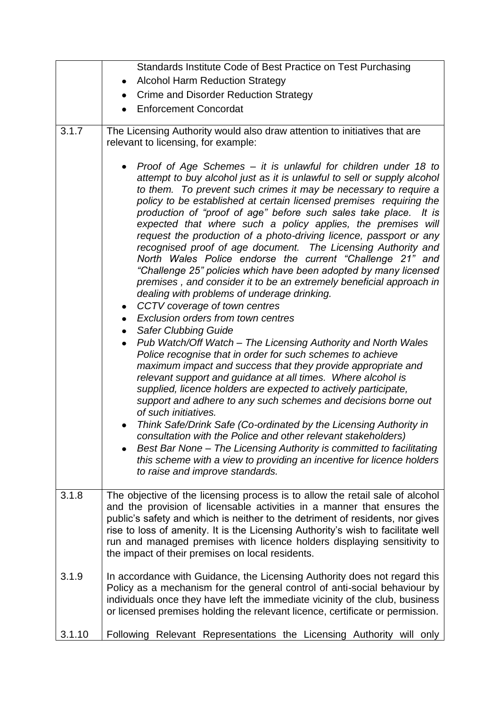|        | Standards Institute Code of Best Practice on Test Purchasing                                                                                                                                                                                                                                                                                                                                                                                                                                                                                                                                                                                                                                                                                                                                                                                                                                                                                                                                                                                                                                                                                                                                                                                                                                                                                                                                    |
|--------|-------------------------------------------------------------------------------------------------------------------------------------------------------------------------------------------------------------------------------------------------------------------------------------------------------------------------------------------------------------------------------------------------------------------------------------------------------------------------------------------------------------------------------------------------------------------------------------------------------------------------------------------------------------------------------------------------------------------------------------------------------------------------------------------------------------------------------------------------------------------------------------------------------------------------------------------------------------------------------------------------------------------------------------------------------------------------------------------------------------------------------------------------------------------------------------------------------------------------------------------------------------------------------------------------------------------------------------------------------------------------------------------------|
|        | <b>Alcohol Harm Reduction Strategy</b>                                                                                                                                                                                                                                                                                                                                                                                                                                                                                                                                                                                                                                                                                                                                                                                                                                                                                                                                                                                                                                                                                                                                                                                                                                                                                                                                                          |
|        | Crime and Disorder Reduction Strategy                                                                                                                                                                                                                                                                                                                                                                                                                                                                                                                                                                                                                                                                                                                                                                                                                                                                                                                                                                                                                                                                                                                                                                                                                                                                                                                                                           |
|        | <b>Enforcement Concordat</b>                                                                                                                                                                                                                                                                                                                                                                                                                                                                                                                                                                                                                                                                                                                                                                                                                                                                                                                                                                                                                                                                                                                                                                                                                                                                                                                                                                    |
| 3.1.7  | The Licensing Authority would also draw attention to initiatives that are                                                                                                                                                                                                                                                                                                                                                                                                                                                                                                                                                                                                                                                                                                                                                                                                                                                                                                                                                                                                                                                                                                                                                                                                                                                                                                                       |
|        | relevant to licensing, for example:                                                                                                                                                                                                                                                                                                                                                                                                                                                                                                                                                                                                                                                                                                                                                                                                                                                                                                                                                                                                                                                                                                                                                                                                                                                                                                                                                             |
|        | Proof of Age Schemes – it is unlawful for children under 18 to<br>attempt to buy alcohol just as it is unlawful to sell or supply alcohol<br>to them. To prevent such crimes it may be necessary to require a<br>policy to be established at certain licensed premises requiring the<br>production of "proof of age" before such sales take place. It is<br>expected that where such a policy applies, the premises will<br>request the production of a photo-driving licence, passport or any<br>recognised proof of age document. The Licensing Authority and<br>North Wales Police endorse the current "Challenge 21" and<br>"Challenge 25" policies which have been adopted by many licensed<br>premises, and consider it to be an extremely beneficial approach in<br>dealing with problems of underage drinking.<br>CCTV coverage of town centres<br>Exclusion orders from town centres<br>$\bullet$<br><b>Safer Clubbing Guide</b><br>$\bullet$<br>Pub Watch/Off Watch - The Licensing Authority and North Wales<br>$\bullet$<br>Police recognise that in order for such schemes to achieve<br>maximum impact and success that they provide appropriate and<br>relevant support and guidance at all times. Where alcohol is<br>supplied, licence holders are expected to actively participate,<br>support and adhere to any such schemes and decisions borne out<br>of such initiatives. |
|        | Think Safe/Drink Safe (Co-ordinated by the Licensing Authority in<br>consultation with the Police and other relevant stakeholders)<br>Best Bar None - The Licensing Authority is committed to facilitating<br>this scheme with a view to providing an incentive for licence holders<br>to raise and improve standards.                                                                                                                                                                                                                                                                                                                                                                                                                                                                                                                                                                                                                                                                                                                                                                                                                                                                                                                                                                                                                                                                          |
| 3.1.8  | The objective of the licensing process is to allow the retail sale of alcohol<br>and the provision of licensable activities in a manner that ensures the<br>public's safety and which is neither to the detriment of residents, nor gives<br>rise to loss of amenity. It is the Licensing Authority's wish to facilitate well                                                                                                                                                                                                                                                                                                                                                                                                                                                                                                                                                                                                                                                                                                                                                                                                                                                                                                                                                                                                                                                                   |
|        | run and managed premises with licence holders displaying sensitivity to<br>the impact of their premises on local residents.                                                                                                                                                                                                                                                                                                                                                                                                                                                                                                                                                                                                                                                                                                                                                                                                                                                                                                                                                                                                                                                                                                                                                                                                                                                                     |
| 3.1.9  | In accordance with Guidance, the Licensing Authority does not regard this<br>Policy as a mechanism for the general control of anti-social behaviour by<br>individuals once they have left the immediate vicinity of the club, business<br>or licensed premises holding the relevant licence, certificate or permission.                                                                                                                                                                                                                                                                                                                                                                                                                                                                                                                                                                                                                                                                                                                                                                                                                                                                                                                                                                                                                                                                         |
| 3.1.10 | Following Relevant Representations the Licensing Authority will only                                                                                                                                                                                                                                                                                                                                                                                                                                                                                                                                                                                                                                                                                                                                                                                                                                                                                                                                                                                                                                                                                                                                                                                                                                                                                                                            |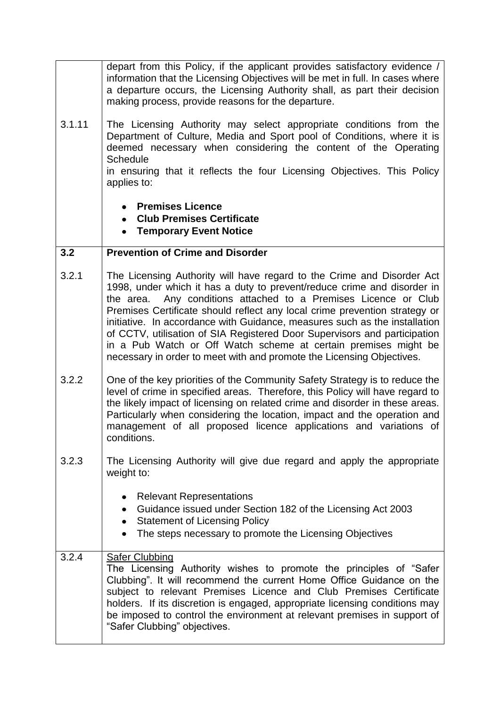|        | depart from this Policy, if the applicant provides satisfactory evidence /<br>information that the Licensing Objectives will be met in full. In cases where<br>a departure occurs, the Licensing Authority shall, as part their decision<br>making process, provide reasons for the departure.                                                                                                                                                                                                                                                                                                            |
|--------|-----------------------------------------------------------------------------------------------------------------------------------------------------------------------------------------------------------------------------------------------------------------------------------------------------------------------------------------------------------------------------------------------------------------------------------------------------------------------------------------------------------------------------------------------------------------------------------------------------------|
| 3.1.11 | The Licensing Authority may select appropriate conditions from the<br>Department of Culture, Media and Sport pool of Conditions, where it is<br>deemed necessary when considering the content of the Operating<br><b>Schedule</b><br>in ensuring that it reflects the four Licensing Objectives. This Policy<br>applies to:                                                                                                                                                                                                                                                                               |
|        | <b>Premises Licence</b><br>$\bullet$<br><b>Club Premises Certificate</b><br>• Temporary Event Notice                                                                                                                                                                                                                                                                                                                                                                                                                                                                                                      |
| 3.2    | <b>Prevention of Crime and Disorder</b>                                                                                                                                                                                                                                                                                                                                                                                                                                                                                                                                                                   |
| 3.2.1  | The Licensing Authority will have regard to the Crime and Disorder Act<br>1998, under which it has a duty to prevent/reduce crime and disorder in<br>the area. Any conditions attached to a Premises Licence or Club<br>Premises Certificate should reflect any local crime prevention strategy or<br>initiative. In accordance with Guidance, measures such as the installation<br>of CCTV, utilisation of SIA Registered Door Supervisors and participation<br>in a Pub Watch or Off Watch scheme at certain premises might be<br>necessary in order to meet with and promote the Licensing Objectives. |
| 3.2.2  | One of the key priorities of the Community Safety Strategy is to reduce the<br>level of crime in specified areas. Therefore, this Policy will have regard to<br>the likely impact of licensing on related crime and disorder in these areas.<br>Particularly when considering the location, impact and the operation and<br>management of all proposed licence applications and variations of<br>conditions.                                                                                                                                                                                              |
| 3.2.3  | The Licensing Authority will give due regard and apply the appropriate<br>weight to:                                                                                                                                                                                                                                                                                                                                                                                                                                                                                                                      |
|        | <b>Relevant Representations</b><br>٠<br>Guidance issued under Section 182 of the Licensing Act 2003<br><b>Statement of Licensing Policy</b><br>٠<br>The steps necessary to promote the Licensing Objectives                                                                                                                                                                                                                                                                                                                                                                                               |
| 3.2.4  | <b>Safer Clubbing</b><br>The Licensing Authority wishes to promote the principles of "Safer"<br>Clubbing". It will recommend the current Home Office Guidance on the<br>subject to relevant Premises Licence and Club Premises Certificate<br>holders. If its discretion is engaged, appropriate licensing conditions may<br>be imposed to control the environment at relevant premises in support of<br>"Safer Clubbing" objectives.                                                                                                                                                                     |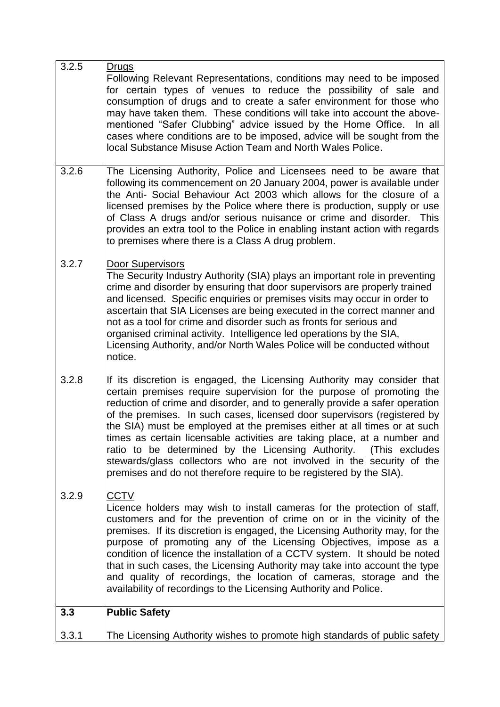| 3.2.5 | <b>Drugs</b><br>Following Relevant Representations, conditions may need to be imposed<br>for certain types of venues to reduce the possibility of sale and<br>consumption of drugs and to create a safer environment for those who<br>may have taken them. These conditions will take into account the above-<br>mentioned "Safer Clubbing" advice issued by the Home Office. In all<br>cases where conditions are to be imposed, advice will be sought from the<br>local Substance Misuse Action Team and North Wales Police.                                                                                                                                                               |
|-------|----------------------------------------------------------------------------------------------------------------------------------------------------------------------------------------------------------------------------------------------------------------------------------------------------------------------------------------------------------------------------------------------------------------------------------------------------------------------------------------------------------------------------------------------------------------------------------------------------------------------------------------------------------------------------------------------|
| 3.2.6 | The Licensing Authority, Police and Licensees need to be aware that<br>following its commencement on 20 January 2004, power is available under<br>the Anti- Social Behaviour Act 2003 which allows for the closure of a<br>licensed premises by the Police where there is production, supply or use<br>of Class A drugs and/or serious nuisance or crime and disorder. This<br>provides an extra tool to the Police in enabling instant action with regards<br>to premises where there is a Class A drug problem.                                                                                                                                                                            |
| 3.2.7 | <b>Door Supervisors</b><br>The Security Industry Authority (SIA) plays an important role in preventing<br>crime and disorder by ensuring that door supervisors are properly trained<br>and licensed. Specific enquiries or premises visits may occur in order to<br>ascertain that SIA Licenses are being executed in the correct manner and<br>not as a tool for crime and disorder such as fronts for serious and<br>organised criminal activity. Intelligence led operations by the SIA,<br>Licensing Authority, and/or North Wales Police will be conducted without<br>notice.                                                                                                           |
| 3.2.8 | If its discretion is engaged, the Licensing Authority may consider that<br>certain premises require supervision for the purpose of promoting the<br>reduction of crime and disorder, and to generally provide a safer operation<br>of the premises. In such cases, licensed door supervisors (registered by<br>the SIA) must be employed at the premises either at all times or at such<br>times as certain licensable activities are taking place, at a number and<br>ratio to be determined by the Licensing Authority.<br>(This excludes)<br>stewards/glass collectors who are not involved in the security of the<br>premises and do not therefore require to be registered by the SIA). |
| 3.2.9 | <b>CCTV</b><br>Licence holders may wish to install cameras for the protection of staff,<br>customers and for the prevention of crime on or in the vicinity of the<br>premises. If its discretion is engaged, the Licensing Authority may, for the<br>purpose of promoting any of the Licensing Objectives, impose as a<br>condition of licence the installation of a CCTV system. It should be noted<br>that in such cases, the Licensing Authority may take into account the type<br>and quality of recordings, the location of cameras, storage and the<br>availability of recordings to the Licensing Authority and Police.                                                               |
| 3.3   | <b>Public Safety</b>                                                                                                                                                                                                                                                                                                                                                                                                                                                                                                                                                                                                                                                                         |
| 3.3.1 | The Licensing Authority wishes to promote high standards of public safety                                                                                                                                                                                                                                                                                                                                                                                                                                                                                                                                                                                                                    |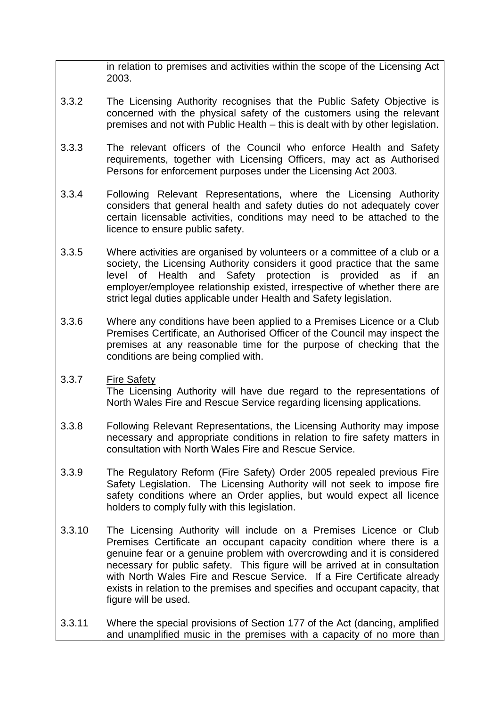|        | in relation to premises and activities within the scope of the Licensing Act<br>2003.                                                                                                                                                                                                                                                                                                                                                                                                    |
|--------|------------------------------------------------------------------------------------------------------------------------------------------------------------------------------------------------------------------------------------------------------------------------------------------------------------------------------------------------------------------------------------------------------------------------------------------------------------------------------------------|
| 3.3.2  | The Licensing Authority recognises that the Public Safety Objective is<br>concerned with the physical safety of the customers using the relevant<br>premises and not with Public Health - this is dealt with by other legislation.                                                                                                                                                                                                                                                       |
| 3.3.3  | The relevant officers of the Council who enforce Health and Safety<br>requirements, together with Licensing Officers, may act as Authorised<br>Persons for enforcement purposes under the Licensing Act 2003.                                                                                                                                                                                                                                                                            |
| 3.3.4  | Following Relevant Representations, where the Licensing Authority<br>considers that general health and safety duties do not adequately cover<br>certain licensable activities, conditions may need to be attached to the<br>licence to ensure public safety.                                                                                                                                                                                                                             |
| 3.3.5  | Where activities are organised by volunteers or a committee of a club or a<br>society, the Licensing Authority considers it good practice that the same<br>level of Health and Safety protection is provided as if an<br>employer/employee relationship existed, irrespective of whether there are<br>strict legal duties applicable under Health and Safety legislation.                                                                                                                |
| 3.3.6  | Where any conditions have been applied to a Premises Licence or a Club<br>Premises Certificate, an Authorised Officer of the Council may inspect the<br>premises at any reasonable time for the purpose of checking that the<br>conditions are being complied with.                                                                                                                                                                                                                      |
| 3.3.7  | <b>Fire Safety</b><br>The Licensing Authority will have due regard to the representations of<br>North Wales Fire and Rescue Service regarding licensing applications.                                                                                                                                                                                                                                                                                                                    |
| 3.3.8  | Following Relevant Representations, the Licensing Authority may impose<br>necessary and appropriate conditions in relation to fire safety matters in<br>consultation with North Wales Fire and Rescue Service.                                                                                                                                                                                                                                                                           |
| 3.3.9  | The Regulatory Reform (Fire Safety) Order 2005 repealed previous Fire<br>Safety Legislation. The Licensing Authority will not seek to impose fire<br>safety conditions where an Order applies, but would expect all licence<br>holders to comply fully with this legislation.                                                                                                                                                                                                            |
| 3.3.10 | The Licensing Authority will include on a Premises Licence or Club<br>Premises Certificate an occupant capacity condition where there is a<br>genuine fear or a genuine problem with overcrowding and it is considered<br>necessary for public safety. This figure will be arrived at in consultation<br>with North Wales Fire and Rescue Service. If a Fire Certificate already<br>exists in relation to the premises and specifies and occupant capacity, that<br>figure will be used. |
| 3.3.11 | Where the special provisions of Section 177 of the Act (dancing, amplified<br>and unamplified music in the premises with a capacity of no more than                                                                                                                                                                                                                                                                                                                                      |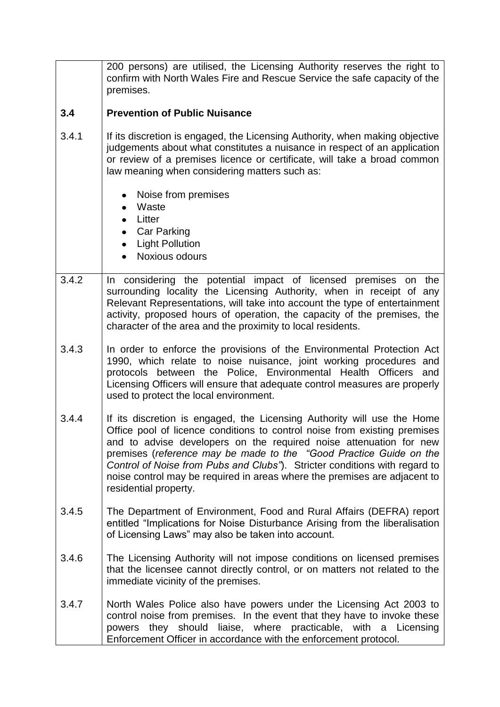|       | 200 persons) are utilised, the Licensing Authority reserves the right to<br>confirm with North Wales Fire and Rescue Service the safe capacity of the<br>premises.                                                                                                                                                                                                                                                                                                                   |
|-------|--------------------------------------------------------------------------------------------------------------------------------------------------------------------------------------------------------------------------------------------------------------------------------------------------------------------------------------------------------------------------------------------------------------------------------------------------------------------------------------|
| 3.4   | <b>Prevention of Public Nuisance</b>                                                                                                                                                                                                                                                                                                                                                                                                                                                 |
| 3.4.1 | If its discretion is engaged, the Licensing Authority, when making objective<br>judgements about what constitutes a nuisance in respect of an application<br>or review of a premises licence or certificate, will take a broad common<br>law meaning when considering matters such as:                                                                                                                                                                                               |
|       | Noise from premises<br>Waste<br>Litter<br><b>Car Parking</b><br><b>Light Pollution</b><br>Noxious odours                                                                                                                                                                                                                                                                                                                                                                             |
| 3.4.2 | In considering the potential impact of licensed premises on the<br>surrounding locality the Licensing Authority, when in receipt of any<br>Relevant Representations, will take into account the type of entertainment<br>activity, proposed hours of operation, the capacity of the premises, the<br>character of the area and the proximity to local residents.                                                                                                                     |
| 3.4.3 | In order to enforce the provisions of the Environmental Protection Act<br>1990, which relate to noise nuisance, joint working procedures and<br>protocols between the Police, Environmental Health Officers<br>and<br>Licensing Officers will ensure that adequate control measures are properly<br>used to protect the local environment.                                                                                                                                           |
| 3.4.4 | If its discretion is engaged, the Licensing Authority will use the Home<br>Office pool of licence conditions to control noise from existing premises<br>and to advise developers on the required noise attenuation for new<br>premises (reference may be made to the "Good Practice Guide on the<br>Control of Noise from Pubs and Clubs"). Stricter conditions with regard to<br>noise control may be required in areas where the premises are adjacent to<br>residential property. |
| 3.4.5 | The Department of Environment, Food and Rural Affairs (DEFRA) report<br>entitled "Implications for Noise Disturbance Arising from the liberalisation<br>of Licensing Laws" may also be taken into account.                                                                                                                                                                                                                                                                           |
| 3.4.6 | The Licensing Authority will not impose conditions on licensed premises<br>that the licensee cannot directly control, or on matters not related to the<br>immediate vicinity of the premises.                                                                                                                                                                                                                                                                                        |
| 3.4.7 | North Wales Police also have powers under the Licensing Act 2003 to<br>control noise from premises. In the event that they have to invoke these<br>powers they should liaise, where practicable, with a Licensing<br>Enforcement Officer in accordance with the enforcement protocol.                                                                                                                                                                                                |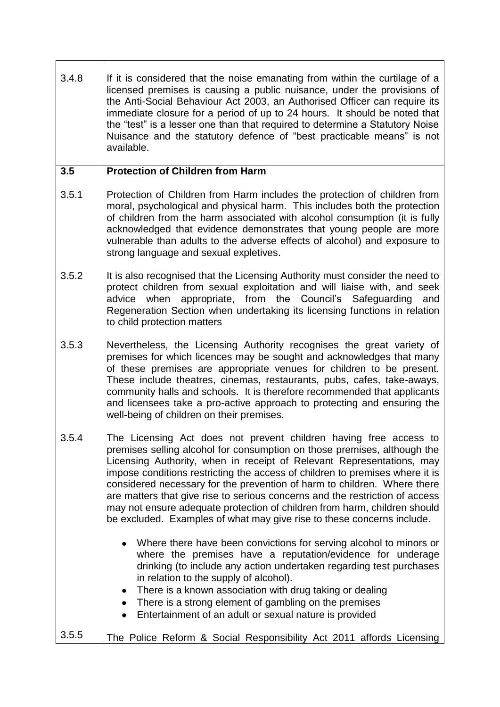3.4.8 If it is considered that the noise emanating from within the curtilage of a licensed premises is causing a public nuisance, under the provisions of the Anti-Social Behaviour Act 2003, an Authorised Officer can require its immediate closure for a period of up to 24 hours. It should be noted that the "test" is a lesser one than that required to determine a Statutory Noise Nuisance and the statutory defence of "best practicable means" is not available.

## **3.5 Protection of Children from Harm**

- 3.5.1 Protection of Children from Harm includes the protection of children from moral, psychological and physical harm. This includes both the protection of children from the harm associated with alcohol consumption (it is fully acknowledged that evidence demonstrates that young people are more vulnerable than adults to the adverse effects of alcohol) and exposure to strong language and sexual expletives.
- 3.5.2 It is also recognised that the Licensing Authority must consider the need to protect children from sexual exploitation and will liaise with, and seek advice when appropriate, from the Council's Safeguarding and Regeneration Section when undertaking its licensing functions in relation to child protection matters
- 3.5.3 Nevertheless, the Licensing Authority recognises the great variety of premises for which licences may be sought and acknowledges that many of these premises are appropriate venues for children to be present. These include theatres, cinemas, restaurants, pubs, cafes, take-aways, community halls and schools. It is therefore recommended that applicants and licensees take a pro-active approach to protecting and ensuring the well-being of children on their premises.
- 3.5.4 The Licensing Act does not prevent children having free access to premises selling alcohol for consumption on those premises, although the Licensing Authority, when in receipt of Relevant Representations, may impose conditions restricting the access of children to premises where it is considered necessary for the prevention of harm to children. Where there are matters that give rise to serious concerns and the restriction of access may not ensure adequate protection of children from harm, children should be excluded. Examples of what may give rise to these concerns include.
	- Where there have been convictions for serving alcohol to minors or where the premises have a reputation/evidence for underage drinking (to include any action undertaken regarding test purchases in relation to the supply of alcohol).
	- There is a known association with drug taking or dealing
	- There is a strong element of gambling on the premises
		- Entertainment of an adult or sexual nature is provided

## 3.5.5 The Police Reform & Social Responsibility Act 2011 affords Licensing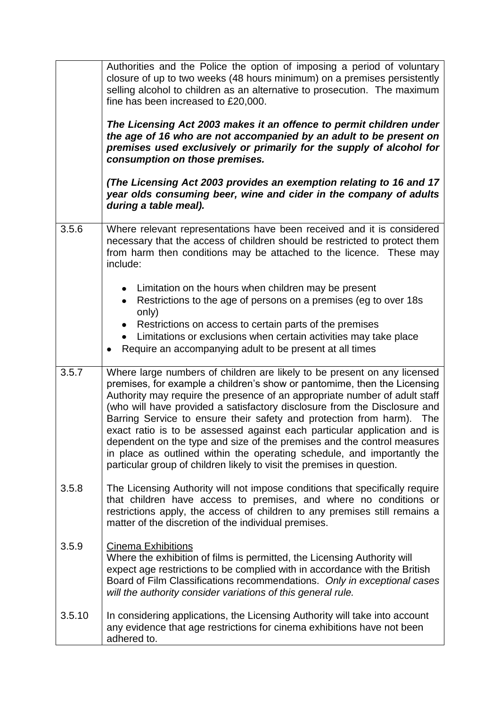|        | Authorities and the Police the option of imposing a period of voluntary<br>closure of up to two weeks (48 hours minimum) on a premises persistently<br>selling alcohol to children as an alternative to prosecution. The maximum<br>fine has been increased to £20,000.<br>The Licensing Act 2003 makes it an offence to permit children under<br>the age of 16 who are not accompanied by an adult to be present on<br>premises used exclusively or primarily for the supply of alcohol for<br>consumption on those premises.<br>(The Licensing Act 2003 provides an exemption relating to 16 and 17<br>year olds consuming beer, wine and cider in the company of adults<br>during a table meal).  |
|--------|------------------------------------------------------------------------------------------------------------------------------------------------------------------------------------------------------------------------------------------------------------------------------------------------------------------------------------------------------------------------------------------------------------------------------------------------------------------------------------------------------------------------------------------------------------------------------------------------------------------------------------------------------------------------------------------------------|
| 3.5.6  | Where relevant representations have been received and it is considered<br>necessary that the access of children should be restricted to protect them<br>from harm then conditions may be attached to the licence. These may<br>include:                                                                                                                                                                                                                                                                                                                                                                                                                                                              |
|        | Limitation on the hours when children may be present<br>Restrictions to the age of persons on a premises (eg to over 18s)<br>only)<br>Restrictions on access to certain parts of the premises<br>Limitations or exclusions when certain activities may take place<br>Require an accompanying adult to be present at all times<br>٠                                                                                                                                                                                                                                                                                                                                                                   |
| 3.5.7  | Where large numbers of children are likely to be present on any licensed<br>premises, for example a children's show or pantomime, then the Licensing<br>Authority may require the presence of an appropriate number of adult staff<br>(who will have provided a satisfactory disclosure from the Disclosure and<br>Barring Service to ensure their safety and protection from harm). The<br>exact ratio is to be assessed against each particular application and is<br>dependent on the type and size of the premises and the control measures<br>in place as outlined within the operating schedule, and importantly the<br>particular group of children likely to visit the premises in question. |
| 3.5.8  | The Licensing Authority will not impose conditions that specifically require<br>that children have access to premises, and where no conditions or<br>restrictions apply, the access of children to any premises still remains a<br>matter of the discretion of the individual premises.                                                                                                                                                                                                                                                                                                                                                                                                              |
| 3.5.9  | <b>Cinema Exhibitions</b><br>Where the exhibition of films is permitted, the Licensing Authority will<br>expect age restrictions to be complied with in accordance with the British<br>Board of Film Classifications recommendations. Only in exceptional cases<br>will the authority consider variations of this general rule.                                                                                                                                                                                                                                                                                                                                                                      |
| 3.5.10 | In considering applications, the Licensing Authority will take into account<br>any evidence that age restrictions for cinema exhibitions have not been<br>adhered to.                                                                                                                                                                                                                                                                                                                                                                                                                                                                                                                                |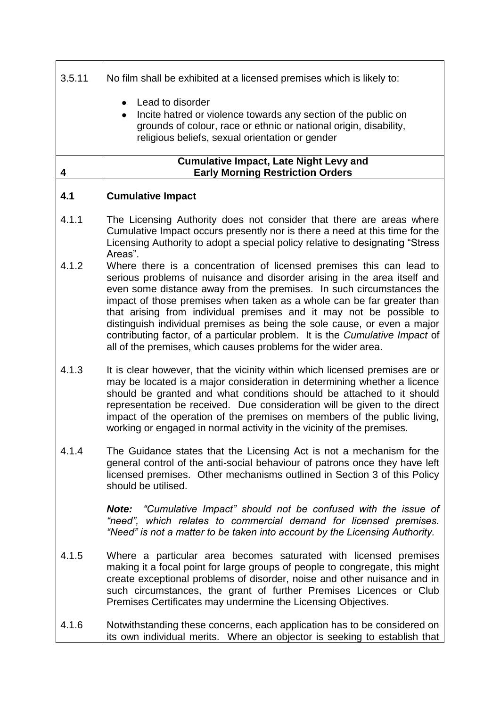| 3.5.11 | No film shall be exhibited at a licensed premises which is likely to:                                                                                                                                                                                                                                                                                                                                                                                                                                                                                                                                   |
|--------|---------------------------------------------------------------------------------------------------------------------------------------------------------------------------------------------------------------------------------------------------------------------------------------------------------------------------------------------------------------------------------------------------------------------------------------------------------------------------------------------------------------------------------------------------------------------------------------------------------|
|        | Lead to disorder<br>Incite hatred or violence towards any section of the public on<br>grounds of colour, race or ethnic or national origin, disability,<br>religious beliefs, sexual orientation or gender                                                                                                                                                                                                                                                                                                                                                                                              |
| 4      | <b>Cumulative Impact, Late Night Levy and</b><br><b>Early Morning Restriction Orders</b>                                                                                                                                                                                                                                                                                                                                                                                                                                                                                                                |
| 4.1    | <b>Cumulative Impact</b>                                                                                                                                                                                                                                                                                                                                                                                                                                                                                                                                                                                |
| 4.1.1  | The Licensing Authority does not consider that there are areas where<br>Cumulative Impact occurs presently nor is there a need at this time for the<br>Licensing Authority to adopt a special policy relative to designating "Stress"<br>Areas".                                                                                                                                                                                                                                                                                                                                                        |
| 4.1.2  | Where there is a concentration of licensed premises this can lead to<br>serious problems of nuisance and disorder arising in the area itself and<br>even some distance away from the premises. In such circumstances the<br>impact of those premises when taken as a whole can be far greater than<br>that arising from individual premises and it may not be possible to<br>distinguish individual premises as being the sole cause, or even a major<br>contributing factor, of a particular problem. It is the Cumulative Impact of<br>all of the premises, which causes problems for the wider area. |
| 4.1.3  | It is clear however, that the vicinity within which licensed premises are or<br>may be located is a major consideration in determining whether a licence<br>should be granted and what conditions should be attached to it should<br>representation be received. Due consideration will be given to the direct<br>impact of the operation of the premises on members of the public living,<br>working or engaged in normal activity in the vicinity of the premises.                                                                                                                                    |
| 4.1.4  | The Guidance states that the Licensing Act is not a mechanism for the<br>general control of the anti-social behaviour of patrons once they have left<br>licensed premises. Other mechanisms outlined in Section 3 of this Policy<br>should be utilised.                                                                                                                                                                                                                                                                                                                                                 |
|        | <b>Note:</b> "Cumulative Impact" should not be confused with the issue of<br>"need", which relates to commercial demand for licensed premises.<br>"Need" is not a matter to be taken into account by the Licensing Authority.                                                                                                                                                                                                                                                                                                                                                                           |
| 4.1.5  | Where a particular area becomes saturated with licensed premises<br>making it a focal point for large groups of people to congregate, this might<br>create exceptional problems of disorder, noise and other nuisance and in<br>such circumstances, the grant of further Premises Licences or Club<br>Premises Certificates may undermine the Licensing Objectives.                                                                                                                                                                                                                                     |
| 4.1.6  | Notwithstanding these concerns, each application has to be considered on<br>its own individual merits. Where an objector is seeking to establish that                                                                                                                                                                                                                                                                                                                                                                                                                                                   |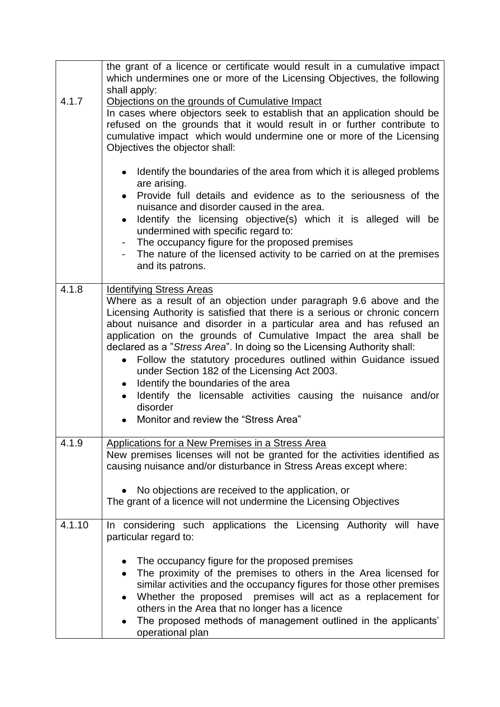|        | the grant of a licence or certificate would result in a cumulative impact<br>which undermines one or more of the Licensing Objectives, the following                                                                                                                                                                                                                                                                                                                                                                                                                                                                                                                                                                        |
|--------|-----------------------------------------------------------------------------------------------------------------------------------------------------------------------------------------------------------------------------------------------------------------------------------------------------------------------------------------------------------------------------------------------------------------------------------------------------------------------------------------------------------------------------------------------------------------------------------------------------------------------------------------------------------------------------------------------------------------------------|
| 4.1.7  | shall apply:<br>Objections on the grounds of Cumulative Impact<br>In cases where objectors seek to establish that an application should be<br>refused on the grounds that it would result in or further contribute to<br>cumulative impact which would undermine one or more of the Licensing<br>Objectives the objector shall:                                                                                                                                                                                                                                                                                                                                                                                             |
|        | Identify the boundaries of the area from which it is alleged problems<br>are arising.<br>• Provide full details and evidence as to the seriousness of the<br>nuisance and disorder caused in the area.<br>Identify the licensing objective(s) which it is alleged will be<br>$\bullet$<br>undermined with specific regard to:<br>- The occupancy figure for the proposed premises<br>The nature of the licensed activity to be carried on at the premises<br>and its patrons.                                                                                                                                                                                                                                               |
| 4.1.8  | <b>Identifying Stress Areas</b><br>Where as a result of an objection under paragraph 9.6 above and the<br>Licensing Authority is satisfied that there is a serious or chronic concern<br>about nuisance and disorder in a particular area and has refused an<br>application on the grounds of Cumulative Impact the area shall be<br>declared as a "Stress Area". In doing so the Licensing Authority shall:<br>Follow the statutory procedures outlined within Guidance issued<br>$\bullet$<br>under Section 182 of the Licensing Act 2003.<br>Identify the boundaries of the area<br>$\bullet$<br>Identify the licensable activities causing the nuisance and/or<br>disorder<br>Monitor and review the "Stress Area"<br>٠ |
| 4.1.9  | <b>Applications for a New Premises in a Stress Area</b><br>New premises licenses will not be granted for the activities identified as<br>causing nuisance and/or disturbance in Stress Areas except where:<br>No objections are received to the application, or<br>The grant of a licence will not undermine the Licensing Objectives                                                                                                                                                                                                                                                                                                                                                                                       |
| 4.1.10 | In considering such applications the Licensing Authority will<br>have<br>particular regard to:<br>The occupancy figure for the proposed premises<br>The proximity of the premises to others in the Area licensed for<br>similar activities and the occupancy figures for those other premises<br>Whether the proposed premises will act as a replacement for<br>others in the Area that no longer has a licence<br>The proposed methods of management outlined in the applicants'<br>operational plan                                                                                                                                                                                                                       |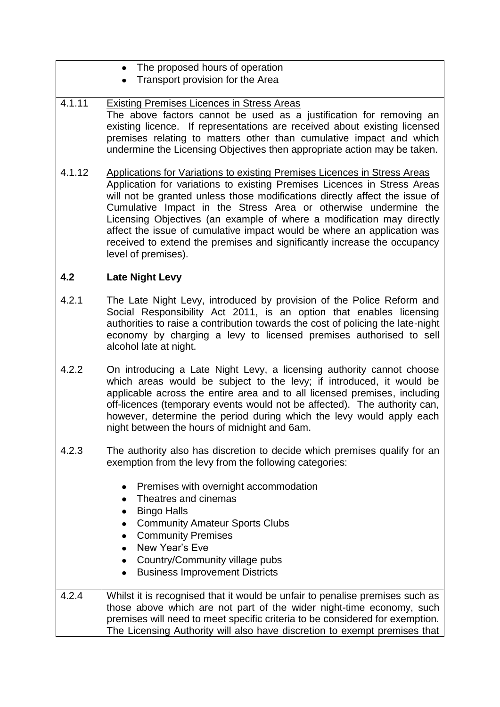|        | • The proposed hours of operation                                                                                                                                                                                                                                                                                                                                                                                                                                                                                                                              |
|--------|----------------------------------------------------------------------------------------------------------------------------------------------------------------------------------------------------------------------------------------------------------------------------------------------------------------------------------------------------------------------------------------------------------------------------------------------------------------------------------------------------------------------------------------------------------------|
|        | Transport provision for the Area                                                                                                                                                                                                                                                                                                                                                                                                                                                                                                                               |
| 4.1.11 | <b>Existing Premises Licences in Stress Areas</b><br>The above factors cannot be used as a justification for removing an<br>existing licence. If representations are received about existing licensed<br>premises relating to matters other than cumulative impact and which<br>undermine the Licensing Objectives then appropriate action may be taken.                                                                                                                                                                                                       |
| 4.1.12 | Applications for Variations to existing Premises Licences in Stress Areas<br>Application for variations to existing Premises Licences in Stress Areas<br>will not be granted unless those modifications directly affect the issue of<br>Cumulative Impact in the Stress Area or otherwise undermine the<br>Licensing Objectives (an example of where a modification may directly<br>affect the issue of cumulative impact would be where an application was<br>received to extend the premises and significantly increase the occupancy<br>level of premises). |
| 4.2    | <b>Late Night Levy</b>                                                                                                                                                                                                                                                                                                                                                                                                                                                                                                                                         |
| 4.2.1  | The Late Night Levy, introduced by provision of the Police Reform and<br>Social Responsibility Act 2011, is an option that enables licensing<br>authorities to raise a contribution towards the cost of policing the late-night<br>economy by charging a levy to licensed premises authorised to sell<br>alcohol late at night.                                                                                                                                                                                                                                |
| 4.2.2  | On introducing a Late Night Levy, a licensing authority cannot choose<br>which areas would be subject to the levy; if introduced, it would be<br>applicable across the entire area and to all licensed premises, including<br>off-licences (temporary events would not be affected). The authority can,<br>however, determine the period during which the levy would apply each<br>night between the hours of midnight and 6am.                                                                                                                                |
| 4.2.3  | The authority also has discretion to decide which premises qualify for an<br>exemption from the levy from the following categories:                                                                                                                                                                                                                                                                                                                                                                                                                            |
|        | Premises with overnight accommodation<br>Theatres and cinemas<br><b>Bingo Halls</b><br>$\bullet$<br><b>Community Amateur Sports Clubs</b><br>$\bullet$<br><b>Community Premises</b><br>$\bullet$<br>New Year's Eve<br>Country/Community village pubs<br>$\bullet$<br><b>Business Improvement Districts</b><br>$\bullet$                                                                                                                                                                                                                                        |
| 4.2.4  | Whilst it is recognised that it would be unfair to penalise premises such as<br>those above which are not part of the wider night-time economy, such<br>premises will need to meet specific criteria to be considered for exemption.<br>The Licensing Authority will also have discretion to exempt premises that                                                                                                                                                                                                                                              |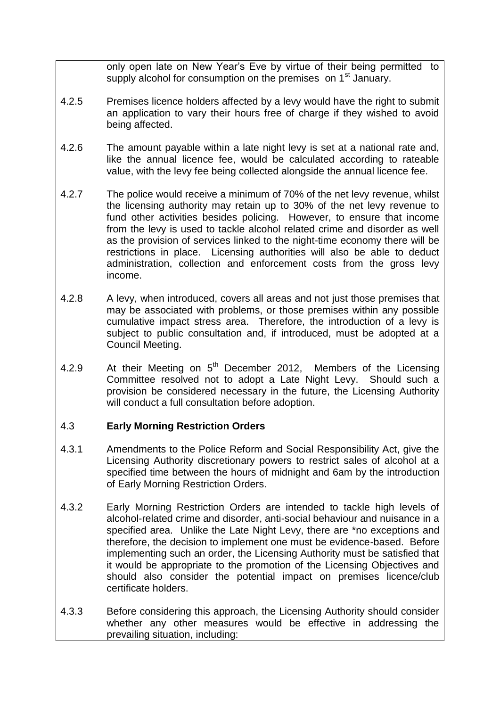|       | only open late on New Year's Eve by virtue of their being permitted to<br>supply alcohol for consumption on the premises on 1 <sup>st</sup> January.                                                                                                                                                                                                                                                                                                                                                                                                                 |
|-------|----------------------------------------------------------------------------------------------------------------------------------------------------------------------------------------------------------------------------------------------------------------------------------------------------------------------------------------------------------------------------------------------------------------------------------------------------------------------------------------------------------------------------------------------------------------------|
| 4.2.5 | Premises licence holders affected by a levy would have the right to submit<br>an application to vary their hours free of charge if they wished to avoid<br>being affected.                                                                                                                                                                                                                                                                                                                                                                                           |
| 4.2.6 | The amount payable within a late night levy is set at a national rate and,<br>like the annual licence fee, would be calculated according to rateable<br>value, with the levy fee being collected alongside the annual licence fee.                                                                                                                                                                                                                                                                                                                                   |
| 4.2.7 | The police would receive a minimum of 70% of the net levy revenue, whilst<br>the licensing authority may retain up to 30% of the net levy revenue to<br>fund other activities besides policing. However, to ensure that income<br>from the levy is used to tackle alcohol related crime and disorder as well<br>as the provision of services linked to the night-time economy there will be<br>restrictions in place. Licensing authorities will also be able to deduct<br>administration, collection and enforcement costs from the gross levy<br>income.           |
| 4.2.8 | A levy, when introduced, covers all areas and not just those premises that<br>may be associated with problems, or those premises within any possible<br>cumulative impact stress area. Therefore, the introduction of a levy is<br>subject to public consultation and, if introduced, must be adopted at a<br>Council Meeting.                                                                                                                                                                                                                                       |
| 4.2.9 | At their Meeting on 5 <sup>th</sup> December 2012, Members of the Licensing<br>Committee resolved not to adopt a Late Night Levy. Should such a<br>provision be considered necessary in the future, the Licensing Authority<br>will conduct a full consultation before adoption.                                                                                                                                                                                                                                                                                     |
| 4.3   | <b>Early Morning Restriction Orders</b>                                                                                                                                                                                                                                                                                                                                                                                                                                                                                                                              |
| 4.3.1 | Amendments to the Police Reform and Social Responsibility Act, give the<br>Licensing Authority discretionary powers to restrict sales of alcohol at a<br>specified time between the hours of midnight and 6am by the introduction<br>of Early Morning Restriction Orders.                                                                                                                                                                                                                                                                                            |
| 4.3.2 | Early Morning Restriction Orders are intended to tackle high levels of<br>alcohol-related crime and disorder, anti-social behaviour and nuisance in a<br>specified area. Unlike the Late Night Levy, there are *no exceptions and<br>therefore, the decision to implement one must be evidence-based. Before<br>implementing such an order, the Licensing Authority must be satisfied that<br>it would be appropriate to the promotion of the Licensing Objectives and<br>should also consider the potential impact on premises licence/club<br>certificate holders. |
| 4.3.3 | Before considering this approach, the Licensing Authority should consider<br>whether any other measures would be effective in addressing the<br>prevailing situation, including:                                                                                                                                                                                                                                                                                                                                                                                     |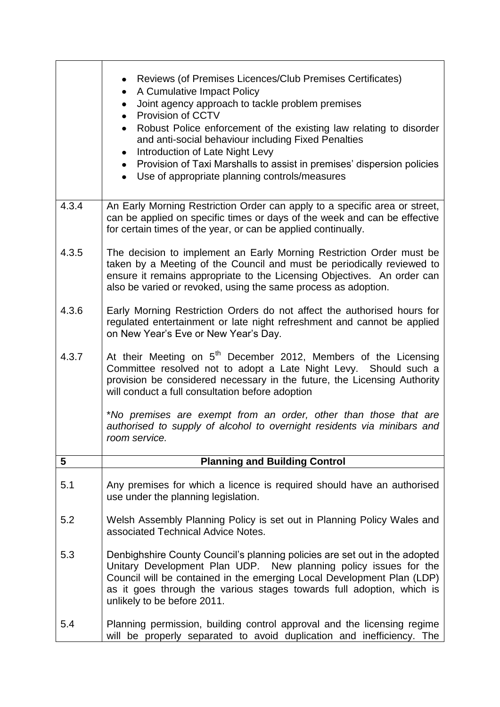|       | Reviews (of Premises Licences/Club Premises Certificates)<br>A Cumulative Impact Policy<br>٠<br>Joint agency approach to tackle problem premises<br>Provision of CCTV<br>$\bullet$<br>Robust Police enforcement of the existing law relating to disorder<br>$\bullet$<br>and anti-social behaviour including Fixed Penalties<br>Introduction of Late Night Levy<br>$\bullet$<br>Provision of Taxi Marshalls to assist in premises' dispersion policies<br>• Use of appropriate planning controls/measures |
|-------|-----------------------------------------------------------------------------------------------------------------------------------------------------------------------------------------------------------------------------------------------------------------------------------------------------------------------------------------------------------------------------------------------------------------------------------------------------------------------------------------------------------|
| 4.3.4 | An Early Morning Restriction Order can apply to a specific area or street,<br>can be applied on specific times or days of the week and can be effective<br>for certain times of the year, or can be applied continually.                                                                                                                                                                                                                                                                                  |
| 4.3.5 | The decision to implement an Early Morning Restriction Order must be<br>taken by a Meeting of the Council and must be periodically reviewed to<br>ensure it remains appropriate to the Licensing Objectives. An order can<br>also be varied or revoked, using the same process as adoption.                                                                                                                                                                                                               |
| 4.3.6 | Early Morning Restriction Orders do not affect the authorised hours for<br>regulated entertainment or late night refreshment and cannot be applied<br>on New Year's Eve or New Year's Day.                                                                                                                                                                                                                                                                                                                |
| 4.3.7 | At their Meeting on 5 <sup>th</sup> December 2012, Members of the Licensing<br>Committee resolved not to adopt a Late Night Levy. Should such a<br>provision be considered necessary in the future, the Licensing Authority<br>will conduct a full consultation before adoption                                                                                                                                                                                                                           |
|       | *No premises are exempt from an order, other than those that are<br>authorised to supply of alcohol to overnight residents via minibars and<br>room service.                                                                                                                                                                                                                                                                                                                                              |
| 5     | <b>Planning and Building Control</b>                                                                                                                                                                                                                                                                                                                                                                                                                                                                      |
| 5.1   | Any premises for which a licence is required should have an authorised<br>use under the planning legislation.                                                                                                                                                                                                                                                                                                                                                                                             |
| 5.2   | Welsh Assembly Planning Policy is set out in Planning Policy Wales and<br>associated Technical Advice Notes.                                                                                                                                                                                                                                                                                                                                                                                              |
| 5.3   | Denbighshire County Council's planning policies are set out in the adopted<br>Unitary Development Plan UDP. New planning policy issues for the<br>Council will be contained in the emerging Local Development Plan (LDP)<br>as it goes through the various stages towards full adoption, which is<br>unlikely to be before 2011.                                                                                                                                                                          |
| 5.4   | Planning permission, building control approval and the licensing regime<br>will be properly separated to avoid duplication and inefficiency. The                                                                                                                                                                                                                                                                                                                                                          |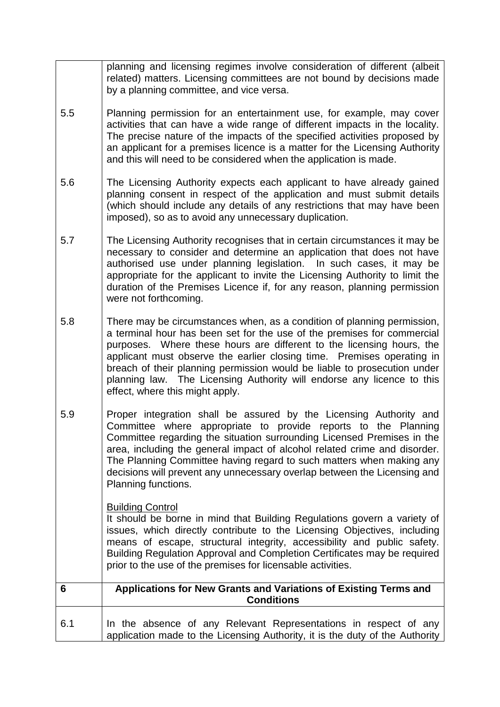|     | planning and licensing regimes involve consideration of different (albeit<br>related) matters. Licensing committees are not bound by decisions made<br>by a planning committee, and vice versa.                                                                                                                                                                                                                                                                                                |
|-----|------------------------------------------------------------------------------------------------------------------------------------------------------------------------------------------------------------------------------------------------------------------------------------------------------------------------------------------------------------------------------------------------------------------------------------------------------------------------------------------------|
| 5.5 | Planning permission for an entertainment use, for example, may cover<br>activities that can have a wide range of different impacts in the locality.<br>The precise nature of the impacts of the specified activities proposed by<br>an applicant for a premises licence is a matter for the Licensing Authority<br>and this will need to be considered when the application is made.                                                                                                           |
| 5.6 | The Licensing Authority expects each applicant to have already gained<br>planning consent in respect of the application and must submit details<br>(which should include any details of any restrictions that may have been<br>imposed), so as to avoid any unnecessary duplication.                                                                                                                                                                                                           |
| 5.7 | The Licensing Authority recognises that in certain circumstances it may be<br>necessary to consider and determine an application that does not have<br>authorised use under planning legislation. In such cases, it may be<br>appropriate for the applicant to invite the Licensing Authority to limit the<br>duration of the Premises Licence if, for any reason, planning permission<br>were not forthcoming.                                                                                |
| 5.8 | There may be circumstances when, as a condition of planning permission,<br>a terminal hour has been set for the use of the premises for commercial<br>purposes. Where these hours are different to the licensing hours, the<br>applicant must observe the earlier closing time. Premises operating in<br>breach of their planning permission would be liable to prosecution under<br>planning law. The Licensing Authority will endorse any licence to this<br>effect, where this might apply. |
| 5.9 | Proper integration shall be assured by the Licensing Authority and<br>Committee where appropriate to provide reports to the Planning<br>Committee regarding the situation surrounding Licensed Premises in the<br>area, including the general impact of alcohol related crime and disorder.<br>The Planning Committee having regard to such matters when making any<br>decisions will prevent any unnecessary overlap between the Licensing and<br>Planning functions.                         |
|     | <b>Building Control</b><br>It should be borne in mind that Building Regulations govern a variety of<br>issues, which directly contribute to the Licensing Objectives, including<br>means of escape, structural integrity, accessibility and public safety.<br>Building Regulation Approval and Completion Certificates may be required<br>prior to the use of the premises for licensable activities.                                                                                          |
| 6   | Applications for New Grants and Variations of Existing Terms and<br><b>Conditions</b>                                                                                                                                                                                                                                                                                                                                                                                                          |
| 6.1 | In the absence of any Relevant Representations in respect of any<br>application made to the Licensing Authority, it is the duty of the Authority                                                                                                                                                                                                                                                                                                                                               |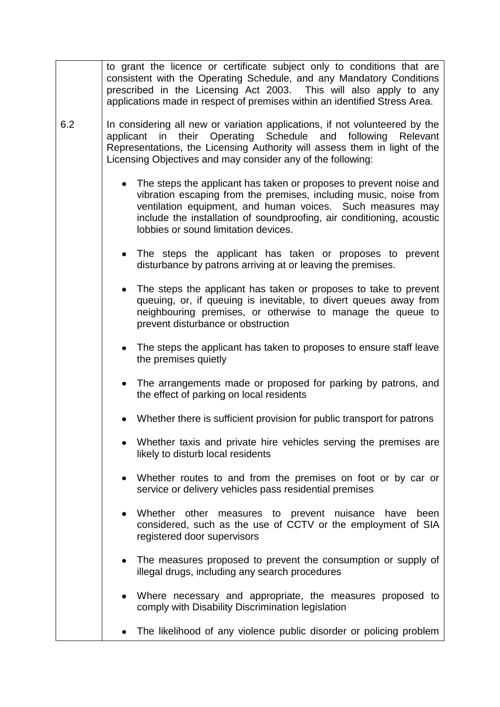|     | to grant the licence or certificate subject only to conditions that are<br>consistent with the Operating Schedule, and any Mandatory Conditions<br>prescribed in the Licensing Act 2003. This will also apply to any<br>applications made in respect of premises within an identified Stress Area.                     |
|-----|------------------------------------------------------------------------------------------------------------------------------------------------------------------------------------------------------------------------------------------------------------------------------------------------------------------------|
| 6.2 | In considering all new or variation applications, if not volunteered by the<br>applicant in their Operating Schedule and following Relevant<br>Representations, the Licensing Authority will assess them in light of the<br>Licensing Objectives and may consider any of the following:                                |
|     | The steps the applicant has taken or proposes to prevent noise and<br>vibration escaping from the premises, including music, noise from<br>ventilation equipment, and human voices. Such measures may<br>include the installation of soundproofing, air conditioning, acoustic<br>lobbies or sound limitation devices. |
|     | • The steps the applicant has taken or proposes to prevent<br>disturbance by patrons arriving at or leaving the premises.                                                                                                                                                                                              |
|     | The steps the applicant has taken or proposes to take to prevent<br>queuing, or, if queuing is inevitable, to divert queues away from<br>neighbouring premises, or otherwise to manage the queue to<br>prevent disturbance or obstruction                                                                              |
|     | • The steps the applicant has taken to proposes to ensure staff leave<br>the premises quietly                                                                                                                                                                                                                          |
|     | • The arrangements made or proposed for parking by patrons, and<br>the effect of parking on local residents                                                                                                                                                                                                            |
|     | Whether there is sufficient provision for public transport for patrons                                                                                                                                                                                                                                                 |
|     | Whether taxis and private hire vehicles serving the premises are<br>likely to disturb local residents                                                                                                                                                                                                                  |
|     | • Whether routes to and from the premises on foot or by car or<br>service or delivery vehicles pass residential premises                                                                                                                                                                                               |
|     | Whether other measures to prevent nuisance have<br>been<br>considered, such as the use of CCTV or the employment of SIA<br>registered door supervisors                                                                                                                                                                 |
|     | The measures proposed to prevent the consumption or supply of<br>$\bullet$<br>illegal drugs, including any search procedures                                                                                                                                                                                           |
|     | Where necessary and appropriate, the measures proposed to<br>comply with Disability Discrimination legislation                                                                                                                                                                                                         |
|     | The likelihood of any violence public disorder or policing problem                                                                                                                                                                                                                                                     |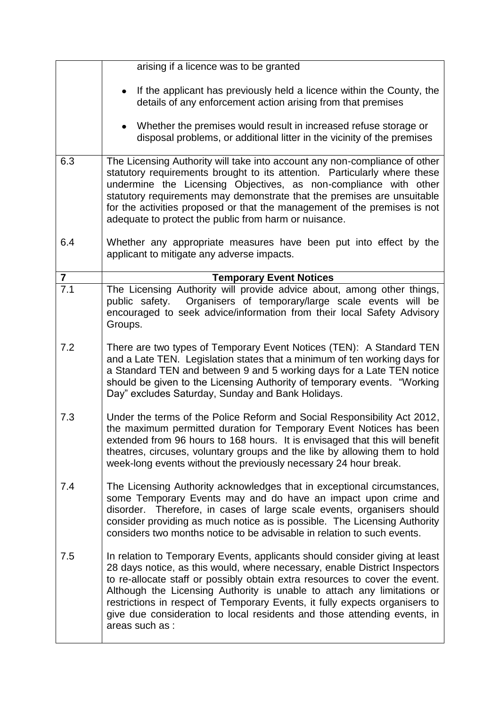|                  | arising if a licence was to be granted                                                                                                                                                                                                                                                                                                                                                                                                                                                            |
|------------------|---------------------------------------------------------------------------------------------------------------------------------------------------------------------------------------------------------------------------------------------------------------------------------------------------------------------------------------------------------------------------------------------------------------------------------------------------------------------------------------------------|
|                  | If the applicant has previously held a licence within the County, the<br>details of any enforcement action arising from that premises                                                                                                                                                                                                                                                                                                                                                             |
|                  | Whether the premises would result in increased refuse storage or<br>disposal problems, or additional litter in the vicinity of the premises                                                                                                                                                                                                                                                                                                                                                       |
| 6.3              | The Licensing Authority will take into account any non-compliance of other<br>statutory requirements brought to its attention. Particularly where these<br>undermine the Licensing Objectives, as non-compliance with other<br>statutory requirements may demonstrate that the premises are unsuitable<br>for the activities proposed or that the management of the premises is not<br>adequate to protect the public from harm or nuisance.                                                      |
| 6.4              | Whether any appropriate measures have been put into effect by the<br>applicant to mitigate any adverse impacts.                                                                                                                                                                                                                                                                                                                                                                                   |
| $\overline{7}$   | <b>Temporary Event Notices</b>                                                                                                                                                                                                                                                                                                                                                                                                                                                                    |
| $\overline{7.1}$ | The Licensing Authority will provide advice about, among other things,<br>Organisers of temporary/large scale events will be<br>public safety.<br>encouraged to seek advice/information from their local Safety Advisory<br>Groups.                                                                                                                                                                                                                                                               |
| 7.2              | There are two types of Temporary Event Notices (TEN): A Standard TEN<br>and a Late TEN. Legislation states that a minimum of ten working days for<br>a Standard TEN and between 9 and 5 working days for a Late TEN notice<br>should be given to the Licensing Authority of temporary events. "Working<br>Day" excludes Saturday, Sunday and Bank Holidays.                                                                                                                                       |
| 7.3              | Under the terms of the Police Reform and Social Responsibility Act 2012,<br>the maximum permitted duration for Temporary Event Notices has been<br>extended from 96 hours to 168 hours. It is envisaged that this will benefit<br>theatres, circuses, voluntary groups and the like by allowing them to hold<br>week-long events without the previously necessary 24 hour break.                                                                                                                  |
| 7.4              | The Licensing Authority acknowledges that in exceptional circumstances,<br>some Temporary Events may and do have an impact upon crime and<br>disorder. Therefore, in cases of large scale events, organisers should<br>consider providing as much notice as is possible. The Licensing Authority<br>considers two months notice to be advisable in relation to such events.                                                                                                                       |
| 7.5              | In relation to Temporary Events, applicants should consider giving at least<br>28 days notice, as this would, where necessary, enable District Inspectors<br>to re-allocate staff or possibly obtain extra resources to cover the event.<br>Although the Licensing Authority is unable to attach any limitations or<br>restrictions in respect of Temporary Events, it fully expects organisers to<br>give due consideration to local residents and those attending events, in<br>areas such as : |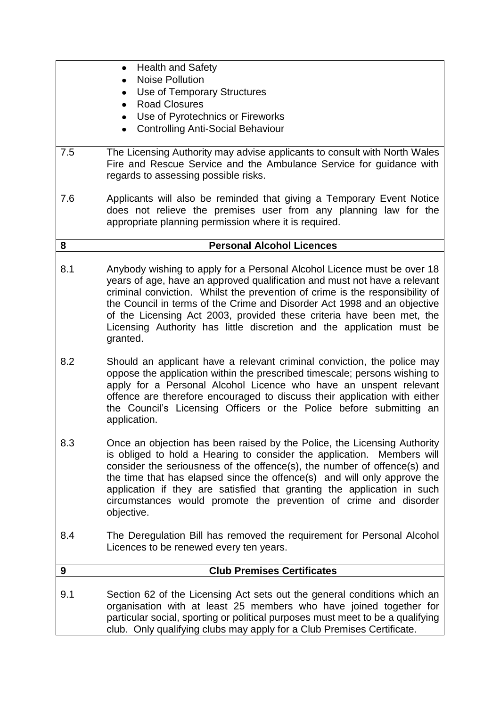|     | <b>Health and Safety</b>                                                                                                                                                                                                                                                                                                                                                                                                                                                       |
|-----|--------------------------------------------------------------------------------------------------------------------------------------------------------------------------------------------------------------------------------------------------------------------------------------------------------------------------------------------------------------------------------------------------------------------------------------------------------------------------------|
|     | <b>Noise Pollution</b>                                                                                                                                                                                                                                                                                                                                                                                                                                                         |
|     | Use of Temporary Structures                                                                                                                                                                                                                                                                                                                                                                                                                                                    |
|     | <b>Road Closures</b><br>$\bullet$                                                                                                                                                                                                                                                                                                                                                                                                                                              |
|     | • Use of Pyrotechnics or Fireworks                                                                                                                                                                                                                                                                                                                                                                                                                                             |
|     | <b>Controlling Anti-Social Behaviour</b>                                                                                                                                                                                                                                                                                                                                                                                                                                       |
| 7.5 | The Licensing Authority may advise applicants to consult with North Wales<br>Fire and Rescue Service and the Ambulance Service for guidance with<br>regards to assessing possible risks.                                                                                                                                                                                                                                                                                       |
| 7.6 | Applicants will also be reminded that giving a Temporary Event Notice<br>does not relieve the premises user from any planning law for the<br>appropriate planning permission where it is required.                                                                                                                                                                                                                                                                             |
| 8   | <b>Personal Alcohol Licences</b>                                                                                                                                                                                                                                                                                                                                                                                                                                               |
| 8.1 | Anybody wishing to apply for a Personal Alcohol Licence must be over 18<br>years of age, have an approved qualification and must not have a relevant<br>criminal conviction. Whilst the prevention of crime is the responsibility of<br>the Council in terms of the Crime and Disorder Act 1998 and an objective<br>of the Licensing Act 2003, provided these criteria have been met, the<br>Licensing Authority has little discretion and the application must be<br>granted. |
| 8.2 | Should an applicant have a relevant criminal conviction, the police may<br>oppose the application within the prescribed timescale; persons wishing to<br>apply for a Personal Alcohol Licence who have an unspent relevant<br>offence are therefore encouraged to discuss their application with either<br>the Council's Licensing Officers or the Police before submitting an<br>application.                                                                                 |
| 8.3 | Once an objection has been raised by the Police, the Licensing Authority<br>is obliged to hold a Hearing to consider the application. Members will<br>consider the seriousness of the offence(s), the number of offence(s) and<br>the time that has elapsed since the offence(s) and will only approve the<br>application if they are satisfied that granting the application in such<br>circumstances would promote the prevention of crime and disorder<br>objective.        |
| 8.4 | The Deregulation Bill has removed the requirement for Personal Alcohol<br>Licences to be renewed every ten years.                                                                                                                                                                                                                                                                                                                                                              |
| 9   | <b>Club Premises Certificates</b>                                                                                                                                                                                                                                                                                                                                                                                                                                              |
| 9.1 | Section 62 of the Licensing Act sets out the general conditions which an<br>organisation with at least 25 members who have joined together for<br>particular social, sporting or political purposes must meet to be a qualifying<br>club. Only qualifying clubs may apply for a Club Premises Certificate.                                                                                                                                                                     |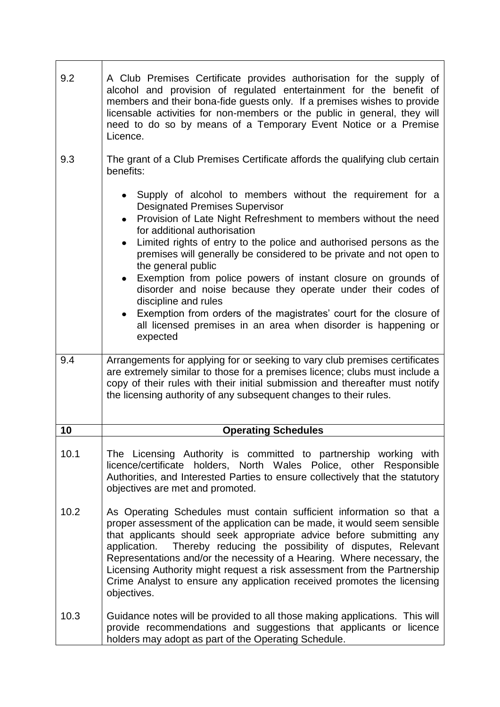| 9.2  | A Club Premises Certificate provides authorisation for the supply of<br>alcohol and provision of regulated entertainment for the benefit of<br>members and their bona-fide guests only. If a premises wishes to provide<br>licensable activities for non-members or the public in general, they will<br>need to do so by means of a Temporary Event Notice or a Premise<br>Licence.                                                                                                                                                                                                                                                                                                                                            |
|------|--------------------------------------------------------------------------------------------------------------------------------------------------------------------------------------------------------------------------------------------------------------------------------------------------------------------------------------------------------------------------------------------------------------------------------------------------------------------------------------------------------------------------------------------------------------------------------------------------------------------------------------------------------------------------------------------------------------------------------|
| 9.3  | The grant of a Club Premises Certificate affords the qualifying club certain<br>benefits:                                                                                                                                                                                                                                                                                                                                                                                                                                                                                                                                                                                                                                      |
|      | Supply of alcohol to members without the requirement for a<br><b>Designated Premises Supervisor</b><br>Provision of Late Night Refreshment to members without the need<br>$\bullet$<br>for additional authorisation<br>Limited rights of entry to the police and authorised persons as the<br>premises will generally be considered to be private and not open to<br>the general public<br>Exemption from police powers of instant closure on grounds of<br>$\bullet$<br>disorder and noise because they operate under their codes of<br>discipline and rules<br>Exemption from orders of the magistrates' court for the closure of<br>$\bullet$<br>all licensed premises in an area when disorder is happening or<br>expected |
| 9.4  | Arrangements for applying for or seeking to vary club premises certificates<br>are extremely similar to those for a premises licence; clubs must include a<br>copy of their rules with their initial submission and thereafter must notify<br>the licensing authority of any subsequent changes to their rules.                                                                                                                                                                                                                                                                                                                                                                                                                |
| 10   | <b>Operating Schedules</b>                                                                                                                                                                                                                                                                                                                                                                                                                                                                                                                                                                                                                                                                                                     |
| 10.1 | The Licensing Authority is committed to partnership working with<br>licence/certificate holders, North Wales Police, other Responsible<br>Authorities, and Interested Parties to ensure collectively that the statutory<br>objectives are met and promoted.                                                                                                                                                                                                                                                                                                                                                                                                                                                                    |
| 10.2 | As Operating Schedules must contain sufficient information so that a<br>proper assessment of the application can be made, it would seem sensible<br>that applicants should seek appropriate advice before submitting any<br>application. Thereby reducing the possibility of disputes, Relevant<br>Representations and/or the necessity of a Hearing. Where necessary, the<br>Licensing Authority might request a risk assessment from the Partnership<br>Crime Analyst to ensure any application received promotes the licensing<br>objectives.                                                                                                                                                                               |
| 10.3 | Guidance notes will be provided to all those making applications. This will<br>provide recommendations and suggestions that applicants or licence<br>holders may adopt as part of the Operating Schedule.                                                                                                                                                                                                                                                                                                                                                                                                                                                                                                                      |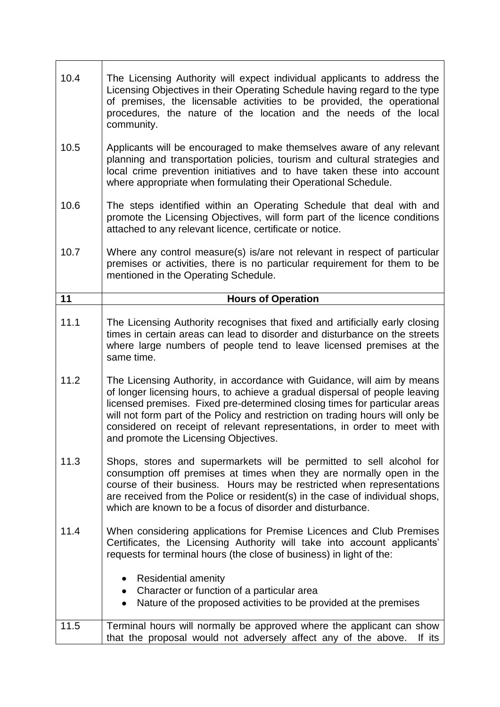| 10.4 | The Licensing Authority will expect individual applicants to address the<br>Licensing Objectives in their Operating Schedule having regard to the type<br>of premises, the licensable activities to be provided, the operational<br>procedures, the nature of the location and the needs of the local<br>community.                                                                                                                         |
|------|---------------------------------------------------------------------------------------------------------------------------------------------------------------------------------------------------------------------------------------------------------------------------------------------------------------------------------------------------------------------------------------------------------------------------------------------|
| 10.5 | Applicants will be encouraged to make themselves aware of any relevant<br>planning and transportation policies, tourism and cultural strategies and<br>local crime prevention initiatives and to have taken these into account<br>where appropriate when formulating their Operational Schedule.                                                                                                                                            |
| 10.6 | The steps identified within an Operating Schedule that deal with and<br>promote the Licensing Objectives, will form part of the licence conditions<br>attached to any relevant licence, certificate or notice.                                                                                                                                                                                                                              |
| 10.7 | Where any control measure(s) is/are not relevant in respect of particular<br>premises or activities, there is no particular requirement for them to be<br>mentioned in the Operating Schedule.                                                                                                                                                                                                                                              |
| 11   | <b>Hours of Operation</b>                                                                                                                                                                                                                                                                                                                                                                                                                   |
| 11.1 | The Licensing Authority recognises that fixed and artificially early closing<br>times in certain areas can lead to disorder and disturbance on the streets<br>where large numbers of people tend to leave licensed premises at the<br>same time.                                                                                                                                                                                            |
| 11.2 | The Licensing Authority, in accordance with Guidance, will aim by means<br>of longer licensing hours, to achieve a gradual dispersal of people leaving<br>licensed premises. Fixed pre-determined closing times for particular areas<br>will not form part of the Policy and restriction on trading hours will only be<br>considered on receipt of relevant representations, in order to meet with<br>and promote the Licensing Objectives. |
| 11.3 | Shops, stores and supermarkets will be permitted to sell alcohol for<br>consumption off premises at times when they are normally open in the<br>course of their business. Hours may be restricted when representations<br>are received from the Police or resident(s) in the case of individual shops,<br>which are known to be a focus of disorder and disturbance.                                                                        |
| 11.4 | When considering applications for Premise Licences and Club Premises<br>Certificates, the Licensing Authority will take into account applicants'<br>requests for terminal hours (the close of business) in light of the:                                                                                                                                                                                                                    |
|      | <b>Residential amenity</b><br>• Character or function of a particular area<br>Nature of the proposed activities to be provided at the premises<br>$\bullet$                                                                                                                                                                                                                                                                                 |
| 11.5 | Terminal hours will normally be approved where the applicant can show<br>that the proposal would not adversely affect any of the above.<br>If its                                                                                                                                                                                                                                                                                           |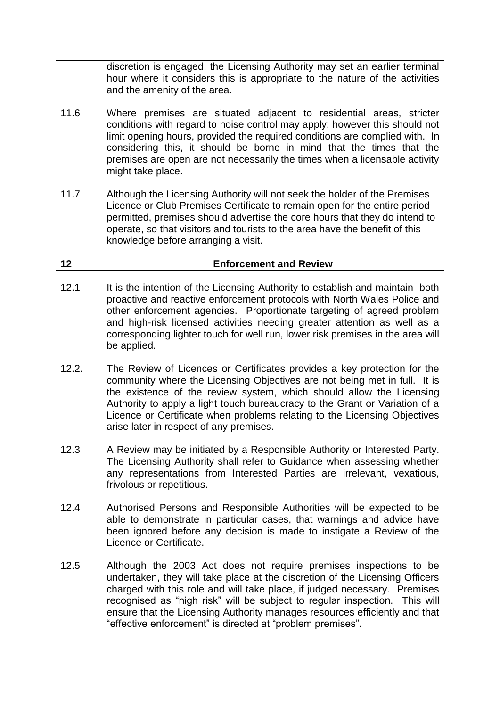|       | discretion is engaged, the Licensing Authority may set an earlier terminal<br>hour where it considers this is appropriate to the nature of the activities<br>and the amenity of the area.                                                                                                                                                                                                                                                                |
|-------|----------------------------------------------------------------------------------------------------------------------------------------------------------------------------------------------------------------------------------------------------------------------------------------------------------------------------------------------------------------------------------------------------------------------------------------------------------|
| 11.6  | Where premises are situated adjacent to residential areas, stricter<br>conditions with regard to noise control may apply; however this should not<br>limit opening hours, provided the required conditions are complied with. In<br>considering this, it should be borne in mind that the times that the<br>premises are open are not necessarily the times when a licensable activity<br>might take place.                                              |
| 11.7  | Although the Licensing Authority will not seek the holder of the Premises<br>Licence or Club Premises Certificate to remain open for the entire period<br>permitted, premises should advertise the core hours that they do intend to<br>operate, so that visitors and tourists to the area have the benefit of this<br>knowledge before arranging a visit.                                                                                               |
| 12    | <b>Enforcement and Review</b>                                                                                                                                                                                                                                                                                                                                                                                                                            |
| 12.1  | It is the intention of the Licensing Authority to establish and maintain both<br>proactive and reactive enforcement protocols with North Wales Police and<br>other enforcement agencies. Proportionate targeting of agreed problem<br>and high-risk licensed activities needing greater attention as well as a<br>corresponding lighter touch for well run, lower risk premises in the area will<br>be applied.                                          |
| 12.2. | The Review of Licences or Certificates provides a key protection for the<br>community where the Licensing Objectives are not being met in full. It is<br>the existence of the review system, which should allow the Licensing<br>Authority to apply a light touch bureaucracy to the Grant or Variation of a<br>Licence or Certificate when problems relating to the Licensing Objectives<br>arise later in respect of any premises.                     |
| 12.3  | A Review may be initiated by a Responsible Authority or Interested Party.<br>The Licensing Authority shall refer to Guidance when assessing whether<br>any representations from Interested Parties are irrelevant, vexatious,<br>frivolous or repetitious.                                                                                                                                                                                               |
| 12.4  | Authorised Persons and Responsible Authorities will be expected to be<br>able to demonstrate in particular cases, that warnings and advice have<br>been ignored before any decision is made to instigate a Review of the<br>Licence or Certificate.                                                                                                                                                                                                      |
| 12.5  | Although the 2003 Act does not require premises inspections to be<br>undertaken, they will take place at the discretion of the Licensing Officers<br>charged with this role and will take place, if judged necessary. Premises<br>recognised as "high risk" will be subject to regular inspection. This will<br>ensure that the Licensing Authority manages resources efficiently and that<br>"effective enforcement" is directed at "problem premises". |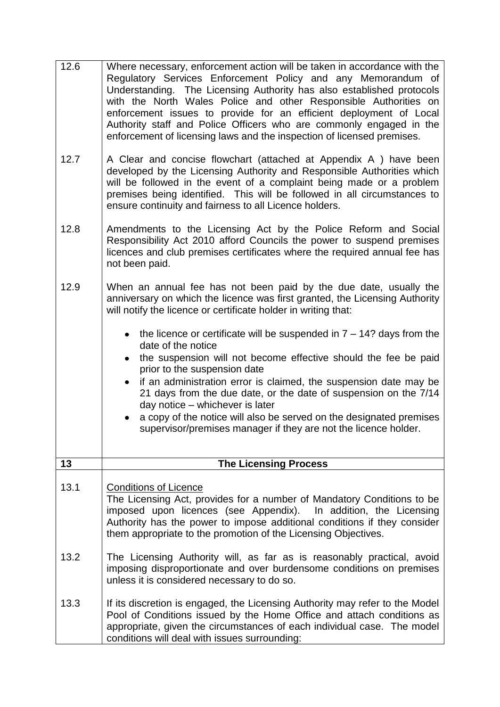| 12.6 | Where necessary, enforcement action will be taken in accordance with the<br>Regulatory Services Enforcement Policy and any Memorandum of<br>Understanding. The Licensing Authority has also established protocols<br>with the North Wales Police and other Responsible Authorities on<br>enforcement issues to provide for an efficient deployment of Local<br>Authority staff and Police Officers who are commonly engaged in the<br>enforcement of licensing laws and the inspection of licensed premises.                         |
|------|--------------------------------------------------------------------------------------------------------------------------------------------------------------------------------------------------------------------------------------------------------------------------------------------------------------------------------------------------------------------------------------------------------------------------------------------------------------------------------------------------------------------------------------|
| 12.7 | A Clear and concise flowchart (attached at Appendix A) have been<br>developed by the Licensing Authority and Responsible Authorities which<br>will be followed in the event of a complaint being made or a problem<br>premises being identified. This will be followed in all circumstances to<br>ensure continuity and fairness to all Licence holders.                                                                                                                                                                             |
| 12.8 | Amendments to the Licensing Act by the Police Reform and Social<br>Responsibility Act 2010 afford Councils the power to suspend premises<br>licences and club premises certificates where the required annual fee has<br>not been paid.                                                                                                                                                                                                                                                                                              |
| 12.9 | When an annual fee has not been paid by the due date, usually the<br>anniversary on which the licence was first granted, the Licensing Authority<br>will notify the licence or certificate holder in writing that:                                                                                                                                                                                                                                                                                                                   |
|      | the licence or certificate will be suspended in $7 - 14$ ? days from the<br>date of the notice<br>the suspension will not become effective should the fee be paid<br>$\bullet$<br>prior to the suspension date<br>if an administration error is claimed, the suspension date may be<br>21 days from the due date, or the date of suspension on the 7/14<br>day notice - whichever is later<br>a copy of the notice will also be served on the designated premises<br>supervisor/premises manager if they are not the licence holder. |
| 13   | <b>The Licensing Process</b>                                                                                                                                                                                                                                                                                                                                                                                                                                                                                                         |
| 13.1 | <b>Conditions of Licence</b><br>The Licensing Act, provides for a number of Mandatory Conditions to be<br>imposed upon licences (see Appendix).<br>In addition, the Licensing<br>Authority has the power to impose additional conditions if they consider<br>them appropriate to the promotion of the Licensing Objectives.                                                                                                                                                                                                          |
| 13.2 | The Licensing Authority will, as far as is reasonably practical, avoid<br>imposing disproportionate and over burdensome conditions on premises<br>unless it is considered necessary to do so.                                                                                                                                                                                                                                                                                                                                        |
| 13.3 | If its discretion is engaged, the Licensing Authority may refer to the Model<br>Pool of Conditions issued by the Home Office and attach conditions as<br>appropriate, given the circumstances of each individual case. The model<br>conditions will deal with issues surrounding:                                                                                                                                                                                                                                                    |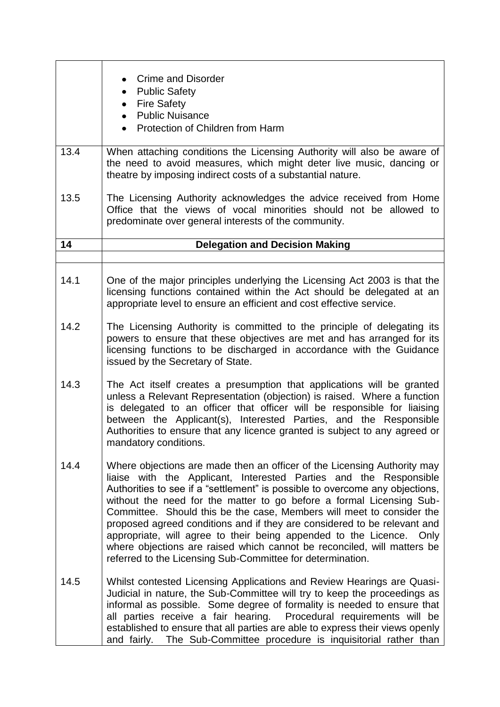|      | <b>Crime and Disorder</b><br><b>Public Safety</b><br><b>Fire Safety</b><br>$\bullet$<br><b>Public Nuisance</b><br>$\bullet$                                                                                                                                                                                                                                                                                                                                                                                                                                                                                                                                                 |
|------|-----------------------------------------------------------------------------------------------------------------------------------------------------------------------------------------------------------------------------------------------------------------------------------------------------------------------------------------------------------------------------------------------------------------------------------------------------------------------------------------------------------------------------------------------------------------------------------------------------------------------------------------------------------------------------|
|      | Protection of Children from Harm                                                                                                                                                                                                                                                                                                                                                                                                                                                                                                                                                                                                                                            |
| 13.4 | When attaching conditions the Licensing Authority will also be aware of<br>the need to avoid measures, which might deter live music, dancing or<br>theatre by imposing indirect costs of a substantial nature.                                                                                                                                                                                                                                                                                                                                                                                                                                                              |
| 13.5 | The Licensing Authority acknowledges the advice received from Home<br>Office that the views of vocal minorities should not be allowed to<br>predominate over general interests of the community.                                                                                                                                                                                                                                                                                                                                                                                                                                                                            |
| 14   | <b>Delegation and Decision Making</b>                                                                                                                                                                                                                                                                                                                                                                                                                                                                                                                                                                                                                                       |
|      |                                                                                                                                                                                                                                                                                                                                                                                                                                                                                                                                                                                                                                                                             |
| 14.1 | One of the major principles underlying the Licensing Act 2003 is that the<br>licensing functions contained within the Act should be delegated at an<br>appropriate level to ensure an efficient and cost effective service.                                                                                                                                                                                                                                                                                                                                                                                                                                                 |
| 14.2 | The Licensing Authority is committed to the principle of delegating its<br>powers to ensure that these objectives are met and has arranged for its<br>licensing functions to be discharged in accordance with the Guidance<br>issued by the Secretary of State.                                                                                                                                                                                                                                                                                                                                                                                                             |
| 14.3 | The Act itself creates a presumption that applications will be granted<br>unless a Relevant Representation (objection) is raised. Where a function<br>is delegated to an officer that officer will be responsible for liaising<br>between the Applicant(s), Interested Parties, and the Responsible<br>Authorities to ensure that any licence granted is subject to any agreed or<br>mandatory conditions.                                                                                                                                                                                                                                                                  |
| 14.4 | Where objections are made then an officer of the Licensing Authority may<br>liaise with the Applicant, Interested Parties and the Responsible<br>Authorities to see if a "settlement" is possible to overcome any objections,<br>without the need for the matter to go before a formal Licensing Sub-<br>Committee. Should this be the case, Members will meet to consider the<br>proposed agreed conditions and if they are considered to be relevant and<br>appropriate, will agree to their being appended to the Licence. Only<br>where objections are raised which cannot be reconciled, will matters be<br>referred to the Licensing Sub-Committee for determination. |
| 14.5 | Whilst contested Licensing Applications and Review Hearings are Quasi-<br>Judicial in nature, the Sub-Committee will try to keep the proceedings as<br>informal as possible. Some degree of formality is needed to ensure that<br>all parties receive a fair hearing. Procedural requirements will be<br>established to ensure that all parties are able to express their views openly<br>and fairly. The Sub-Committee procedure is inquisitorial rather than                                                                                                                                                                                                              |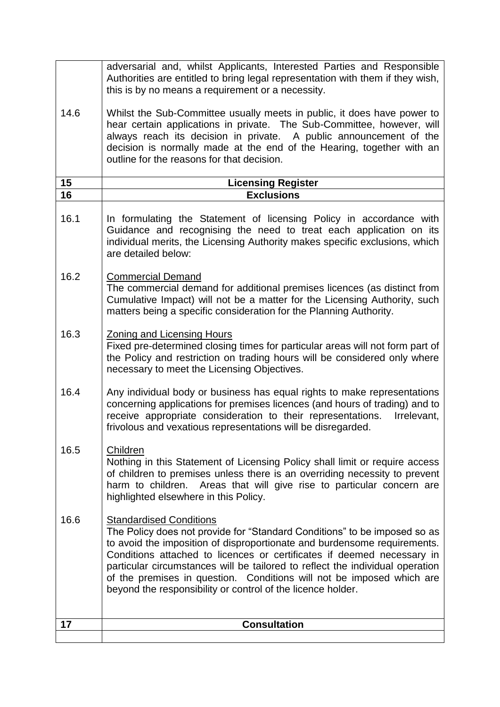|      | adversarial and, whilst Applicants, Interested Parties and Responsible<br>Authorities are entitled to bring legal representation with them if they wish,<br>this is by no means a requirement or a necessity.                                                                                                                                                                                                                                                                              |
|------|--------------------------------------------------------------------------------------------------------------------------------------------------------------------------------------------------------------------------------------------------------------------------------------------------------------------------------------------------------------------------------------------------------------------------------------------------------------------------------------------|
| 14.6 | Whilst the Sub-Committee usually meets in public, it does have power to<br>hear certain applications in private. The Sub-Committee, however, will<br>always reach its decision in private. A public announcement of the<br>decision is normally made at the end of the Hearing, together with an<br>outline for the reasons for that decision.                                                                                                                                             |
| 15   | <b>Licensing Register</b>                                                                                                                                                                                                                                                                                                                                                                                                                                                                  |
| 16   | <b>Exclusions</b>                                                                                                                                                                                                                                                                                                                                                                                                                                                                          |
| 16.1 | In formulating the Statement of licensing Policy in accordance with<br>Guidance and recognising the need to treat each application on its<br>individual merits, the Licensing Authority makes specific exclusions, which<br>are detailed below:                                                                                                                                                                                                                                            |
| 16.2 | <b>Commercial Demand</b><br>The commercial demand for additional premises licences (as distinct from<br>Cumulative Impact) will not be a matter for the Licensing Authority, such<br>matters being a specific consideration for the Planning Authority.                                                                                                                                                                                                                                    |
| 16.3 | <b>Zoning and Licensing Hours</b><br>Fixed pre-determined closing times for particular areas will not form part of<br>the Policy and restriction on trading hours will be considered only where<br>necessary to meet the Licensing Objectives.                                                                                                                                                                                                                                             |
| 16.4 | Any individual body or business has equal rights to make representations<br>concerning applications for premises licences (and hours of trading) and to<br>receive appropriate consideration to their representations.<br>Irrelevant,<br>frivolous and vexatious representations will be disregarded.                                                                                                                                                                                      |
| 16.5 | Children<br>Nothing in this Statement of Licensing Policy shall limit or require access<br>of children to premises unless there is an overriding necessity to prevent<br>harm to children. Areas that will give rise to particular concern are<br>highlighted elsewhere in this Policy.                                                                                                                                                                                                    |
| 16.6 | <b>Standardised Conditions</b><br>The Policy does not provide for "Standard Conditions" to be imposed so as<br>to avoid the imposition of disproportionate and burdensome requirements.<br>Conditions attached to licences or certificates if deemed necessary in<br>particular circumstances will be tailored to reflect the individual operation<br>of the premises in question. Conditions will not be imposed which are<br>beyond the responsibility or control of the licence holder. |
| 17   | <b>Consultation</b>                                                                                                                                                                                                                                                                                                                                                                                                                                                                        |
|      |                                                                                                                                                                                                                                                                                                                                                                                                                                                                                            |